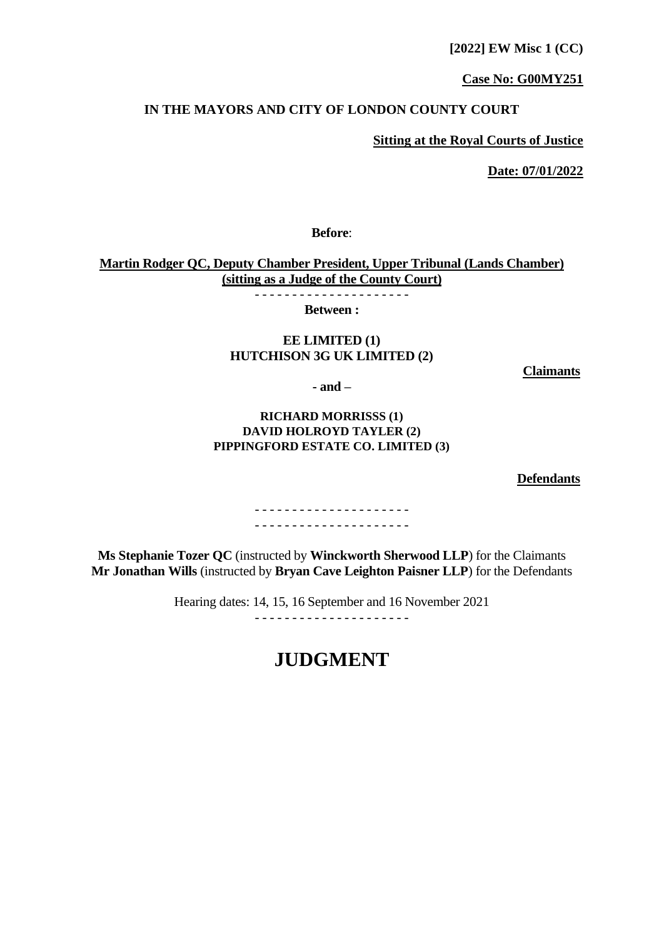#### **[2022] EW Misc 1 (CC)**

**Case No: G00MY251**

# **IN THE MAYORS AND CITY OF LONDON COUNTY COURT**

**Sitting at the Royal Courts of Justice**

**Date: 07/01/2022**

**Before**:

**Martin Rodger QC, Deputy Chamber President, Upper Tribunal (Lands Chamber) (sitting as a Judge of the County Court)**

> - - - - - - - - - - - - - - - - - - - - - **Between :**

## **EE LIMITED (1) HUTCHISON 3G UK LIMITED (2)**

**Claimants**

**- and –**

# **RICHARD MORRISSS (1) DAVID HOLROYD TAYLER (2) PIPPINGFORD ESTATE CO. LIMITED (3)**

**Defendants**

- - - - - - - - - - - - - - - - - - - - - - - - - - - - - - - - - - - - - - - - - -

**Ms Stephanie Tozer QC** (instructed by **Winckworth Sherwood LLP**) for the Claimants **Mr Jonathan Wills** (instructed by **Bryan Cave Leighton Paisner LLP**) for the Defendants

> Hearing dates: 14, 15, 16 September and 16 November 2021 - - - - - - - - - - - - - - - - - - - - -

# **JUDGMENT**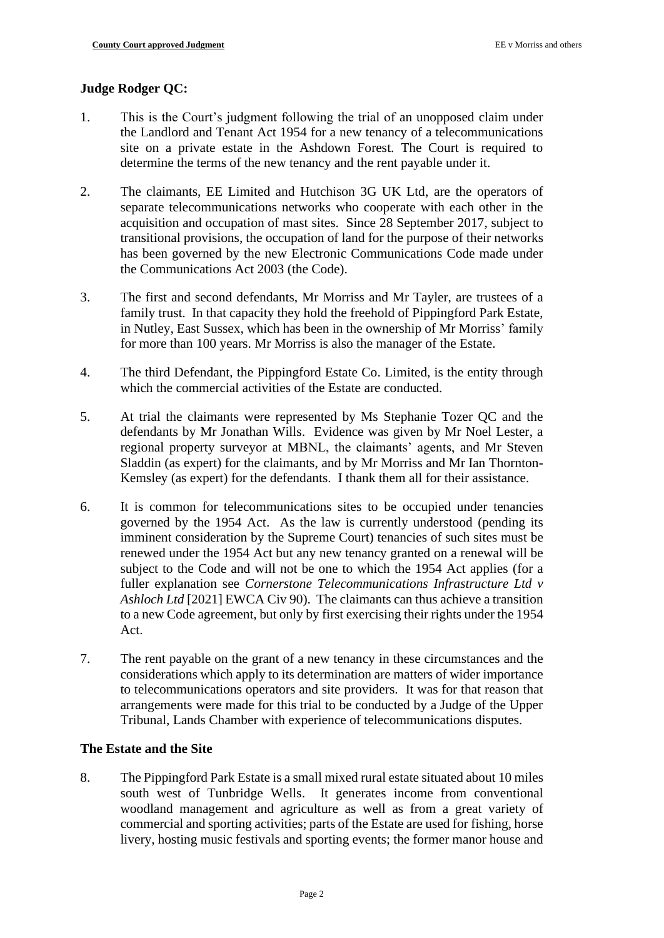# **Judge Rodger QC:**

- 1. This is the Court's judgment following the trial of an unopposed claim under the Landlord and Tenant Act 1954 for a new tenancy of a telecommunications site on a private estate in the Ashdown Forest. The Court is required to determine the terms of the new tenancy and the rent payable under it.
- 2. The claimants, EE Limited and Hutchison 3G UK Ltd, are the operators of separate telecommunications networks who cooperate with each other in the acquisition and occupation of mast sites. Since 28 September 2017, subject to transitional provisions, the occupation of land for the purpose of their networks has been governed by the new Electronic Communications Code made under the Communications Act 2003 (the Code).
- 3. The first and second defendants, Mr Morriss and Mr Tayler, are trustees of a family trust. In that capacity they hold the freehold of Pippingford Park Estate, in Nutley, East Sussex, which has been in the ownership of Mr Morriss' family for more than 100 years. Mr Morriss is also the manager of the Estate.
- 4. The third Defendant, the Pippingford Estate Co. Limited, is the entity through which the commercial activities of the Estate are conducted.
- 5. At trial the claimants were represented by Ms Stephanie Tozer QC and the defendants by Mr Jonathan Wills. Evidence was given by Mr Noel Lester, a regional property surveyor at MBNL, the claimants' agents, and Mr Steven Sladdin (as expert) for the claimants, and by Mr Morriss and Mr Ian Thornton-Kemsley (as expert) for the defendants. I thank them all for their assistance.
- 6. It is common for telecommunications sites to be occupied under tenancies governed by the 1954 Act. As the law is currently understood (pending its imminent consideration by the Supreme Court) tenancies of such sites must be renewed under the 1954 Act but any new tenancy granted on a renewal will be subject to the Code and will not be one to which the 1954 Act applies (for a fuller explanation see *Cornerstone Telecommunications Infrastructure Ltd v Ashloch Ltd* [2021] EWCA Civ 90). The claimants can thus achieve a transition to a new Code agreement, but only by first exercising their rights under the 1954 Act.
- 7. The rent payable on the grant of a new tenancy in these circumstances and the considerations which apply to its determination are matters of wider importance to telecommunications operators and site providers. It was for that reason that arrangements were made for this trial to be conducted by a Judge of the Upper Tribunal, Lands Chamber with experience of telecommunications disputes.

# **The Estate and the Site**

8. The Pippingford Park Estate is a small mixed rural estate situated about 10 miles south west of Tunbridge Wells. It generates income from conventional woodland management and agriculture as well as from a great variety of commercial and sporting activities; parts of the Estate are used for fishing, horse livery, hosting music festivals and sporting events; the former manor house and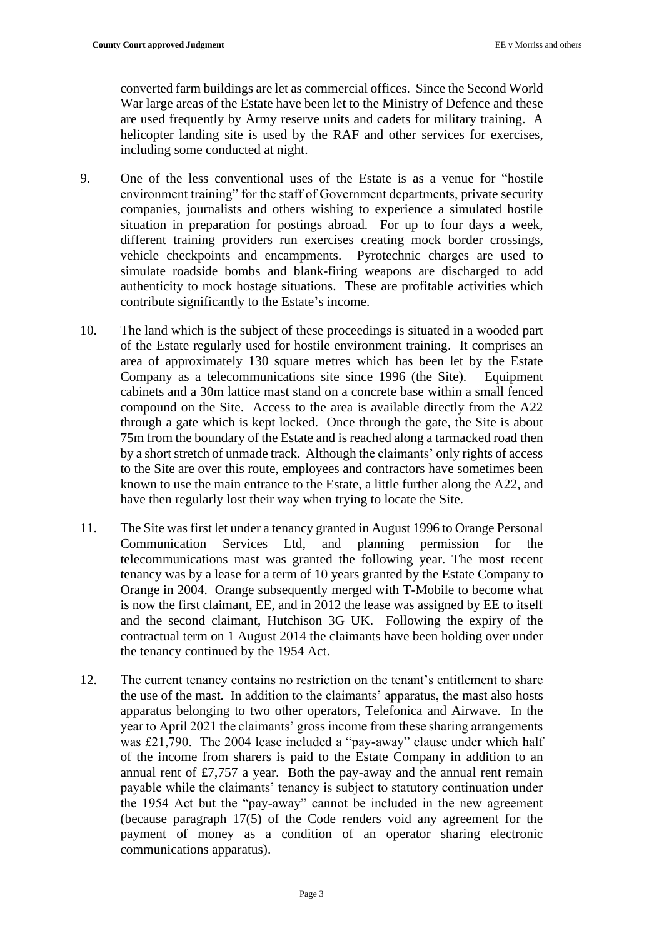converted farm buildings are let as commercial offices. Since the Second World War large areas of the Estate have been let to the Ministry of Defence and these are used frequently by Army reserve units and cadets for military training. A helicopter landing site is used by the RAF and other services for exercises, including some conducted at night.

- 9. One of the less conventional uses of the Estate is as a venue for "hostile environment training" for the staff of Government departments, private security companies, journalists and others wishing to experience a simulated hostile situation in preparation for postings abroad. For up to four days a week, different training providers run exercises creating mock border crossings, vehicle checkpoints and encampments. Pyrotechnic charges are used to simulate roadside bombs and blank-firing weapons are discharged to add authenticity to mock hostage situations. These are profitable activities which contribute significantly to the Estate's income.
- 10. The land which is the subject of these proceedings is situated in a wooded part of the Estate regularly used for hostile environment training. It comprises an area of approximately 130 square metres which has been let by the Estate Company as a telecommunications site since 1996 (the Site). Equipment cabinets and a 30m lattice mast stand on a concrete base within a small fenced compound on the Site. Access to the area is available directly from the A22 through a gate which is kept locked. Once through the gate, the Site is about 75m from the boundary of the Estate and is reached along a tarmacked road then by a short stretch of unmade track. Although the claimants' only rights of access to the Site are over this route, employees and contractors have sometimes been known to use the main entrance to the Estate, a little further along the A22, and have then regularly lost their way when trying to locate the Site.
- 11. The Site was first let under a tenancy granted in August 1996 to Orange Personal Communication Services Ltd, and planning permission for the telecommunications mast was granted the following year. The most recent tenancy was by a lease for a term of 10 years granted by the Estate Company to Orange in 2004. Orange subsequently merged with T-Mobile to become what is now the first claimant, EE, and in 2012 the lease was assigned by EE to itself and the second claimant, Hutchison 3G UK. Following the expiry of the contractual term on 1 August 2014 the claimants have been holding over under the tenancy continued by the 1954 Act.
- 12. The current tenancy contains no restriction on the tenant's entitlement to share the use of the mast. In addition to the claimants' apparatus, the mast also hosts apparatus belonging to two other operators, Telefonica and Airwave. In the year to April 2021 the claimants' gross income from these sharing arrangements was £21,790. The 2004 lease included a "pay-away" clause under which half of the income from sharers is paid to the Estate Company in addition to an annual rent of £7,757 a year. Both the pay-away and the annual rent remain payable while the claimants' tenancy is subject to statutory continuation under the 1954 Act but the "pay-away" cannot be included in the new agreement (because paragraph 17(5) of the Code renders void any agreement for the payment of money as a condition of an operator sharing electronic communications apparatus).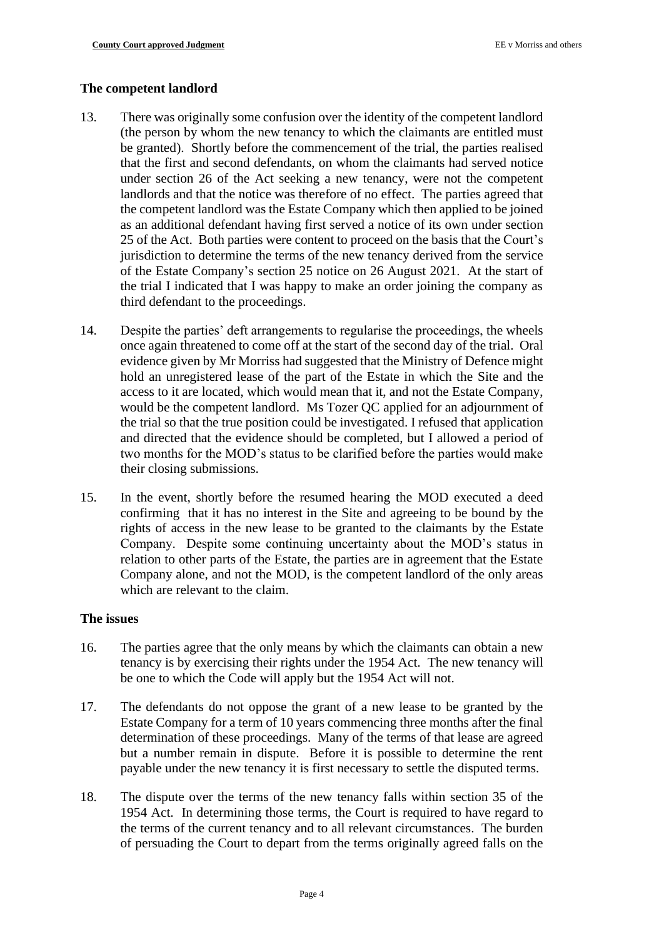## **The competent landlord**

- 13. There was originally some confusion over the identity of the competent landlord (the person by whom the new tenancy to which the claimants are entitled must be granted). Shortly before the commencement of the trial, the parties realised that the first and second defendants, on whom the claimants had served notice under section 26 of the Act seeking a new tenancy, were not the competent landlords and that the notice was therefore of no effect. The parties agreed that the competent landlord was the Estate Company which then applied to be joined as an additional defendant having first served a notice of its own under section 25 of the Act. Both parties were content to proceed on the basis that the Court's jurisdiction to determine the terms of the new tenancy derived from the service of the Estate Company's section 25 notice on 26 August 2021. At the start of the trial I indicated that I was happy to make an order joining the company as third defendant to the proceedings.
- 14. Despite the parties' deft arrangements to regularise the proceedings, the wheels once again threatened to come off at the start of the second day of the trial. Oral evidence given by Mr Morriss had suggested that the Ministry of Defence might hold an unregistered lease of the part of the Estate in which the Site and the access to it are located, which would mean that it, and not the Estate Company, would be the competent landlord. Ms Tozer QC applied for an adjournment of the trial so that the true position could be investigated. I refused that application and directed that the evidence should be completed, but I allowed a period of two months for the MOD's status to be clarified before the parties would make their closing submissions.
- 15. In the event, shortly before the resumed hearing the MOD executed a deed confirming that it has no interest in the Site and agreeing to be bound by the rights of access in the new lease to be granted to the claimants by the Estate Company. Despite some continuing uncertainty about the MOD's status in relation to other parts of the Estate, the parties are in agreement that the Estate Company alone, and not the MOD, is the competent landlord of the only areas which are relevant to the claim.

#### **The issues**

- 16. The parties agree that the only means by which the claimants can obtain a new tenancy is by exercising their rights under the 1954 Act. The new tenancy will be one to which the Code will apply but the 1954 Act will not.
- 17. The defendants do not oppose the grant of a new lease to be granted by the Estate Company for a term of 10 years commencing three months after the final determination of these proceedings. Many of the terms of that lease are agreed but a number remain in dispute. Before it is possible to determine the rent payable under the new tenancy it is first necessary to settle the disputed terms.
- 18. The dispute over the terms of the new tenancy falls within section 35 of the 1954 Act. In determining those terms, the Court is required to have regard to the terms of the current tenancy and to all relevant circumstances. The burden of persuading the Court to depart from the terms originally agreed falls on the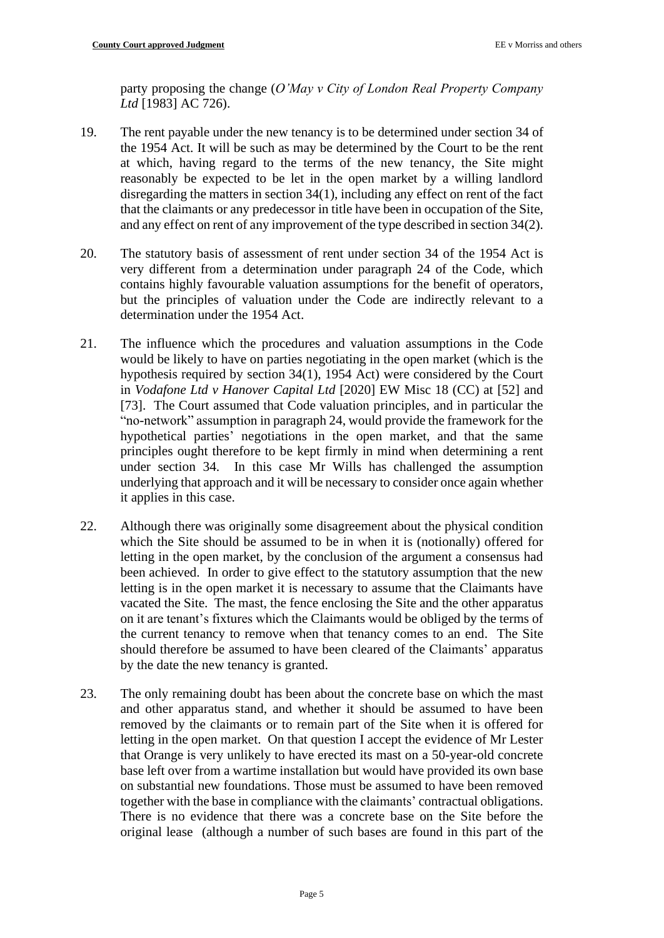party proposing the change (*O'May v City of London Real Property Company Ltd* [1983] AC 726).

- 19. The rent payable under the new tenancy is to be determined under section 34 of the 1954 Act. It will be such as may be determined by the Court to be the rent at which, having regard to the terms of the new tenancy, the Site might reasonably be expected to be let in the open market by a willing landlord disregarding the matters in section 34(1), including any effect on rent of the fact that the claimants or any predecessor in title have been in occupation of the Site, and any effect on rent of any improvement of the type described in section 34(2).
- 20. The statutory basis of assessment of rent under section 34 of the 1954 Act is very different from a determination under paragraph 24 of the Code, which contains highly favourable valuation assumptions for the benefit of operators, but the principles of valuation under the Code are indirectly relevant to a determination under the 1954 Act.
- 21. The influence which the procedures and valuation assumptions in the Code would be likely to have on parties negotiating in the open market (which is the hypothesis required by section 34(1), 1954 Act) were considered by the Court in *Vodafone Ltd v Hanover Capital Ltd* [2020] EW Misc 18 (CC) at [52] and [73]. The Court assumed that Code valuation principles, and in particular the "no-network" assumption in paragraph 24, would provide the framework for the hypothetical parties' negotiations in the open market, and that the same principles ought therefore to be kept firmly in mind when determining a rent under section 34. In this case Mr Wills has challenged the assumption underlying that approach and it will be necessary to consider once again whether it applies in this case.
- 22. Although there was originally some disagreement about the physical condition which the Site should be assumed to be in when it is (notionally) offered for letting in the open market, by the conclusion of the argument a consensus had been achieved. In order to give effect to the statutory assumption that the new letting is in the open market it is necessary to assume that the Claimants have vacated the Site. The mast, the fence enclosing the Site and the other apparatus on it are tenant's fixtures which the Claimants would be obliged by the terms of the current tenancy to remove when that tenancy comes to an end. The Site should therefore be assumed to have been cleared of the Claimants' apparatus by the date the new tenancy is granted.
- 23. The only remaining doubt has been about the concrete base on which the mast and other apparatus stand, and whether it should be assumed to have been removed by the claimants or to remain part of the Site when it is offered for letting in the open market. On that question I accept the evidence of Mr Lester that Orange is very unlikely to have erected its mast on a 50-year-old concrete base left over from a wartime installation but would have provided its own base on substantial new foundations. Those must be assumed to have been removed together with the base in compliance with the claimants' contractual obligations. There is no evidence that there was a concrete base on the Site before the original lease (although a number of such bases are found in this part of the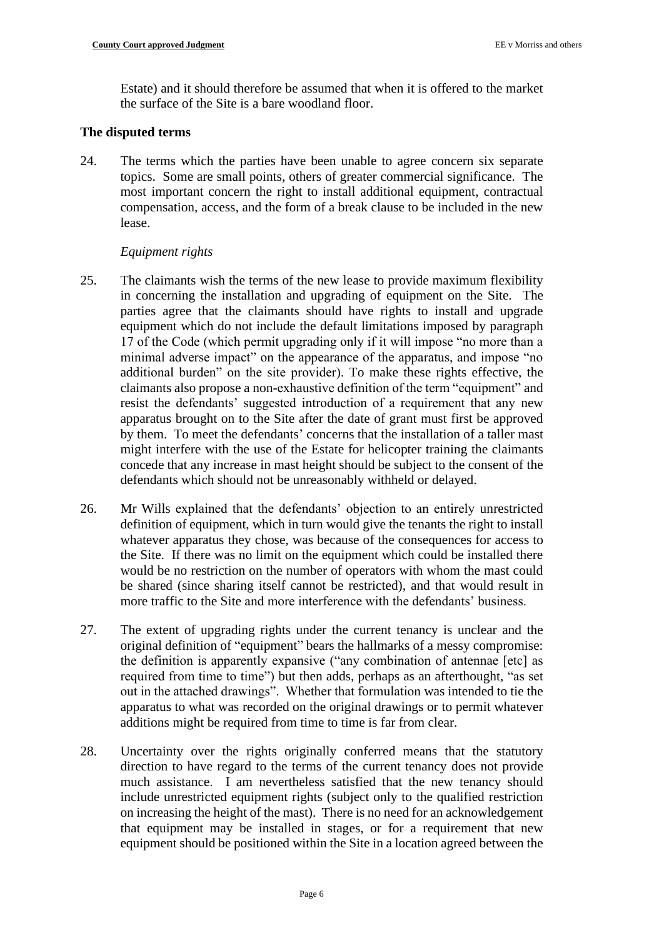Estate) and it should therefore be assumed that when it is offered to the market the surface of the Site is a bare woodland floor.

## **The disputed terms**

24. The terms which the parties have been unable to agree concern six separate topics. Some are small points, others of greater commercial significance. The most important concern the right to install additional equipment, contractual compensation, access, and the form of a break clause to be included in the new lease.

# *Equipment rights*

- 25. The claimants wish the terms of the new lease to provide maximum flexibility in concerning the installation and upgrading of equipment on the Site. The parties agree that the claimants should have rights to install and upgrade equipment which do not include the default limitations imposed by paragraph 17 of the Code (which permit upgrading only if it will impose "no more than a minimal adverse impact" on the appearance of the apparatus, and impose "no additional burden" on the site provider). To make these rights effective, the claimants also propose a non-exhaustive definition of the term "equipment" and resist the defendants' suggested introduction of a requirement that any new apparatus brought on to the Site after the date of grant must first be approved by them. To meet the defendants' concerns that the installation of a taller mast might interfere with the use of the Estate for helicopter training the claimants concede that any increase in mast height should be subject to the consent of the defendants which should not be unreasonably withheld or delayed.
- 26. Mr Wills explained that the defendants' objection to an entirely unrestricted definition of equipment, which in turn would give the tenants the right to install whatever apparatus they chose, was because of the consequences for access to the Site. If there was no limit on the equipment which could be installed there would be no restriction on the number of operators with whom the mast could be shared (since sharing itself cannot be restricted), and that would result in more traffic to the Site and more interference with the defendants' business.
- 27. The extent of upgrading rights under the current tenancy is unclear and the original definition of "equipment" bears the hallmarks of a messy compromise: the definition is apparently expansive ("any combination of antennae [etc] as required from time to time") but then adds, perhaps as an afterthought, "as set out in the attached drawings". Whether that formulation was intended to tie the apparatus to what was recorded on the original drawings or to permit whatever additions might be required from time to time is far from clear.
- 28. Uncertainty over the rights originally conferred means that the statutory direction to have regard to the terms of the current tenancy does not provide much assistance. I am nevertheless satisfied that the new tenancy should include unrestricted equipment rights (subject only to the qualified restriction on increasing the height of the mast). There is no need for an acknowledgement that equipment may be installed in stages, or for a requirement that new equipment should be positioned within the Site in a location agreed between the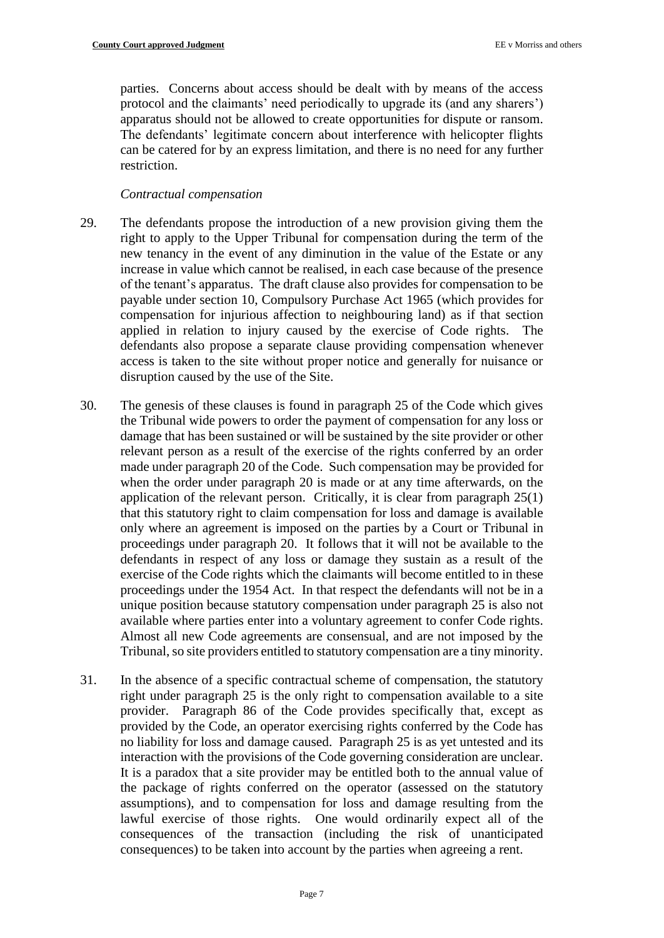parties. Concerns about access should be dealt with by means of the access protocol and the claimants' need periodically to upgrade its (and any sharers') apparatus should not be allowed to create opportunities for dispute or ransom. The defendants' legitimate concern about interference with helicopter flights can be catered for by an express limitation, and there is no need for any further restriction.

## *Contractual compensation*

- 29. The defendants propose the introduction of a new provision giving them the right to apply to the Upper Tribunal for compensation during the term of the new tenancy in the event of any diminution in the value of the Estate or any increase in value which cannot be realised, in each case because of the presence of the tenant's apparatus. The draft clause also provides for compensation to be payable under section 10, Compulsory Purchase Act 1965 (which provides for compensation for injurious affection to neighbouring land) as if that section applied in relation to injury caused by the exercise of Code rights. The defendants also propose a separate clause providing compensation whenever access is taken to the site without proper notice and generally for nuisance or disruption caused by the use of the Site.
- 30. The genesis of these clauses is found in paragraph 25 of the Code which gives the Tribunal wide powers to order the payment of compensation for any loss or damage that has been sustained or will be sustained by the site provider or other relevant person as a result of the exercise of the rights conferred by an order made under paragraph 20 of the Code. Such compensation may be provided for when the order under paragraph 20 is made or at any time afterwards, on the application of the relevant person. Critically, it is clear from paragraph 25(1) that this statutory right to claim compensation for loss and damage is available only where an agreement is imposed on the parties by a Court or Tribunal in proceedings under paragraph 20. It follows that it will not be available to the defendants in respect of any loss or damage they sustain as a result of the exercise of the Code rights which the claimants will become entitled to in these proceedings under the 1954 Act. In that respect the defendants will not be in a unique position because statutory compensation under paragraph 25 is also not available where parties enter into a voluntary agreement to confer Code rights. Almost all new Code agreements are consensual, and are not imposed by the Tribunal, so site providers entitled to statutory compensation are a tiny minority.
- 31. In the absence of a specific contractual scheme of compensation, the statutory right under paragraph 25 is the only right to compensation available to a site provider. Paragraph 86 of the Code provides specifically that, except as provided by the Code, an operator exercising rights conferred by the Code has no liability for loss and damage caused. Paragraph 25 is as yet untested and its interaction with the provisions of the Code governing consideration are unclear. It is a paradox that a site provider may be entitled both to the annual value of the package of rights conferred on the operator (assessed on the statutory assumptions), and to compensation for loss and damage resulting from the lawful exercise of those rights. One would ordinarily expect all of the consequences of the transaction (including the risk of unanticipated consequences) to be taken into account by the parties when agreeing a rent.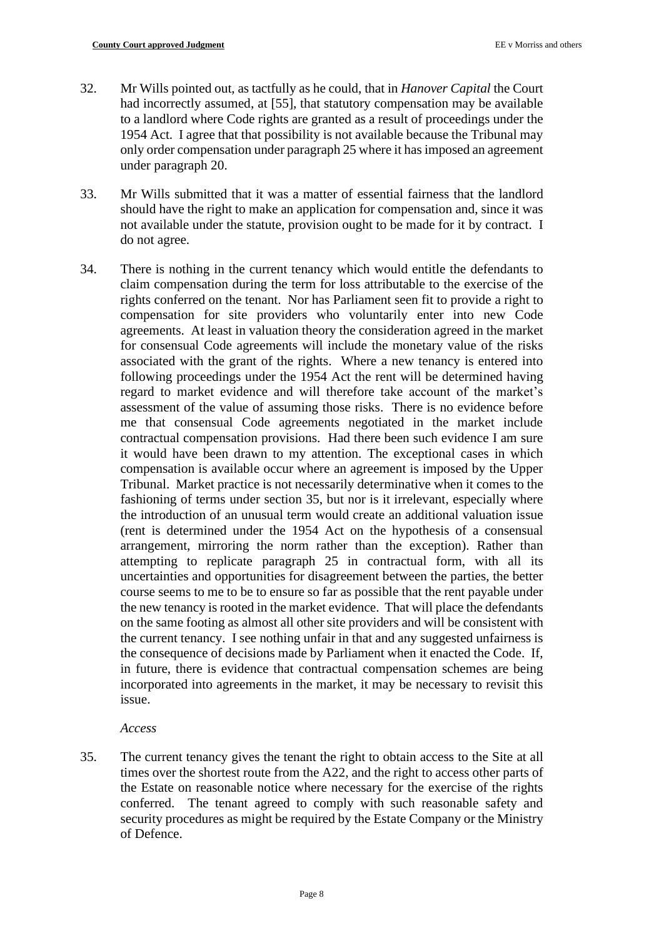- 32. Mr Wills pointed out, as tactfully as he could, that in *Hanover Capital* the Court had incorrectly assumed, at [55], that statutory compensation may be available to a landlord where Code rights are granted as a result of proceedings under the 1954 Act. I agree that that possibility is not available because the Tribunal may only order compensation under paragraph 25 where it has imposed an agreement under paragraph 20.
- 33. Mr Wills submitted that it was a matter of essential fairness that the landlord should have the right to make an application for compensation and, since it was not available under the statute, provision ought to be made for it by contract. I do not agree.
- 34. There is nothing in the current tenancy which would entitle the defendants to claim compensation during the term for loss attributable to the exercise of the rights conferred on the tenant. Nor has Parliament seen fit to provide a right to compensation for site providers who voluntarily enter into new Code agreements. At least in valuation theory the consideration agreed in the market for consensual Code agreements will include the monetary value of the risks associated with the grant of the rights. Where a new tenancy is entered into following proceedings under the 1954 Act the rent will be determined having regard to market evidence and will therefore take account of the market's assessment of the value of assuming those risks. There is no evidence before me that consensual Code agreements negotiated in the market include contractual compensation provisions. Had there been such evidence I am sure it would have been drawn to my attention. The exceptional cases in which compensation is available occur where an agreement is imposed by the Upper Tribunal. Market practice is not necessarily determinative when it comes to the fashioning of terms under section 35, but nor is it irrelevant, especially where the introduction of an unusual term would create an additional valuation issue (rent is determined under the 1954 Act on the hypothesis of a consensual arrangement, mirroring the norm rather than the exception). Rather than attempting to replicate paragraph 25 in contractual form, with all its uncertainties and opportunities for disagreement between the parties, the better course seems to me to be to ensure so far as possible that the rent payable under the new tenancy is rooted in the market evidence. That will place the defendants on the same footing as almost all other site providers and will be consistent with the current tenancy. I see nothing unfair in that and any suggested unfairness is the consequence of decisions made by Parliament when it enacted the Code. If, in future, there is evidence that contractual compensation schemes are being incorporated into agreements in the market, it may be necessary to revisit this issue.

*Access*

35. The current tenancy gives the tenant the right to obtain access to the Site at all times over the shortest route from the A22, and the right to access other parts of the Estate on reasonable notice where necessary for the exercise of the rights conferred. The tenant agreed to comply with such reasonable safety and security procedures as might be required by the Estate Company or the Ministry of Defence.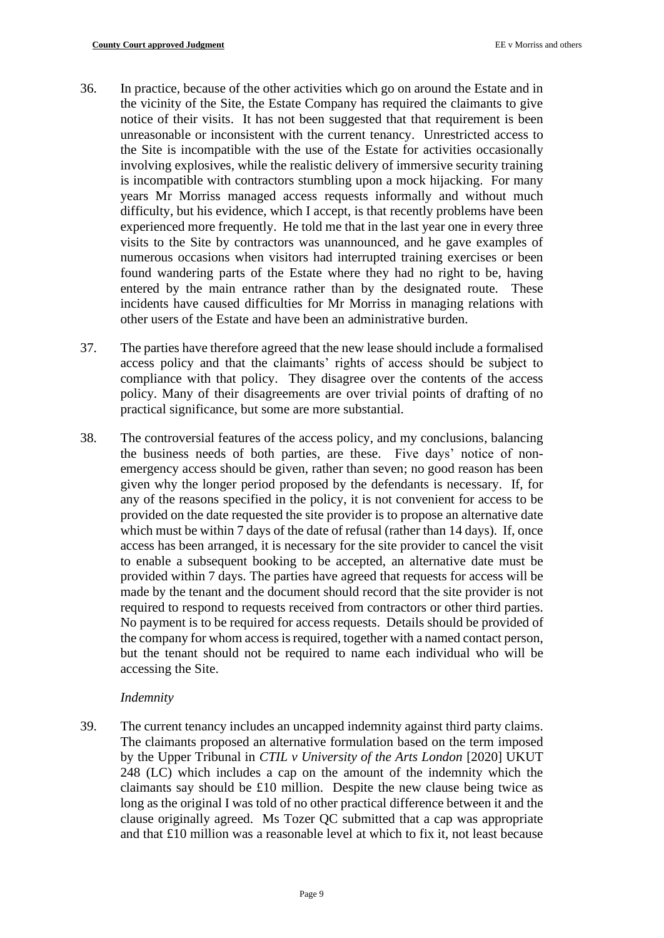- 36. In practice, because of the other activities which go on around the Estate and in the vicinity of the Site, the Estate Company has required the claimants to give notice of their visits. It has not been suggested that that requirement is been unreasonable or inconsistent with the current tenancy. Unrestricted access to the Site is incompatible with the use of the Estate for activities occasionally involving explosives, while the realistic delivery of immersive security training is incompatible with contractors stumbling upon a mock hijacking. For many years Mr Morriss managed access requests informally and without much difficulty, but his evidence, which I accept, is that recently problems have been experienced more frequently. He told me that in the last year one in every three visits to the Site by contractors was unannounced, and he gave examples of numerous occasions when visitors had interrupted training exercises or been found wandering parts of the Estate where they had no right to be, having entered by the main entrance rather than by the designated route. These incidents have caused difficulties for Mr Morriss in managing relations with other users of the Estate and have been an administrative burden.
- 37. The parties have therefore agreed that the new lease should include a formalised access policy and that the claimants' rights of access should be subject to compliance with that policy. They disagree over the contents of the access policy. Many of their disagreements are over trivial points of drafting of no practical significance, but some are more substantial.
- 38. The controversial features of the access policy, and my conclusions, balancing the business needs of both parties, are these. Five days' notice of nonemergency access should be given, rather than seven; no good reason has been given why the longer period proposed by the defendants is necessary. If, for any of the reasons specified in the policy, it is not convenient for access to be provided on the date requested the site provider is to propose an alternative date which must be within 7 days of the date of refusal (rather than 14 days). If, once access has been arranged, it is necessary for the site provider to cancel the visit to enable a subsequent booking to be accepted, an alternative date must be provided within 7 days. The parties have agreed that requests for access will be made by the tenant and the document should record that the site provider is not required to respond to requests received from contractors or other third parties. No payment is to be required for access requests. Details should be provided of the company for whom access is required, together with a named contact person, but the tenant should not be required to name each individual who will be accessing the Site.

# *Indemnity*

39. The current tenancy includes an uncapped indemnity against third party claims. The claimants proposed an alternative formulation based on the term imposed by the Upper Tribunal in *CTIL v University of the Arts London* [2020] UKUT 248 (LC) which includes a cap on the amount of the indemnity which the claimants say should be £10 million. Despite the new clause being twice as long as the original I was told of no other practical difference between it and the clause originally agreed. Ms Tozer QC submitted that a cap was appropriate and that £10 million was a reasonable level at which to fix it, not least because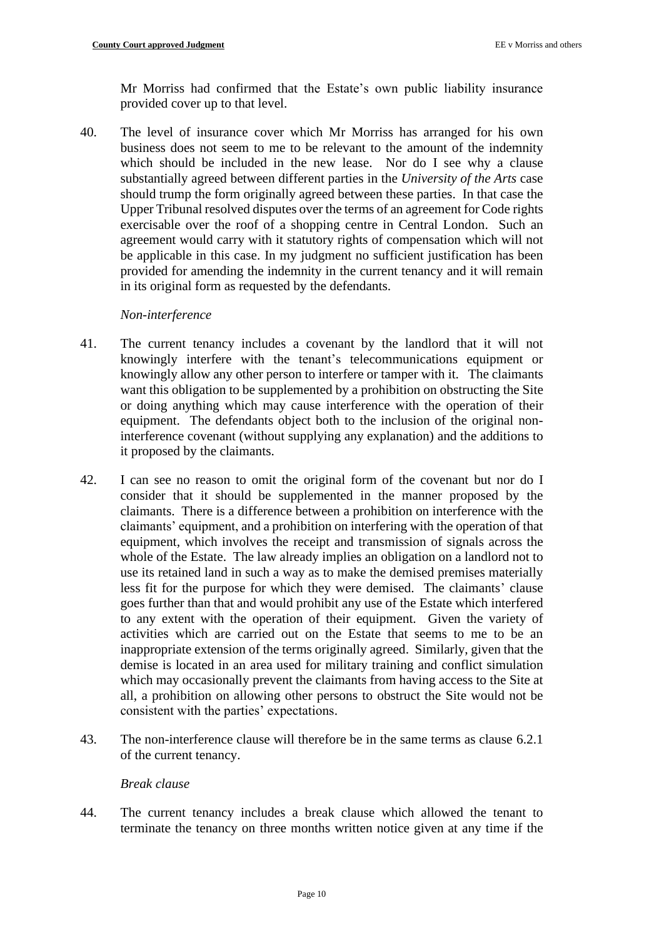Mr Morriss had confirmed that the Estate's own public liability insurance provided cover up to that level.

40. The level of insurance cover which Mr Morriss has arranged for his own business does not seem to me to be relevant to the amount of the indemnity which should be included in the new lease. Nor do I see why a clause substantially agreed between different parties in the *University of the Arts* case should trump the form originally agreed between these parties. In that case the Upper Tribunal resolved disputes over the terms of an agreement for Code rights exercisable over the roof of a shopping centre in Central London. Such an agreement would carry with it statutory rights of compensation which will not be applicable in this case. In my judgment no sufficient justification has been provided for amending the indemnity in the current tenancy and it will remain in its original form as requested by the defendants.

#### *Non-interference*

- 41. The current tenancy includes a covenant by the landlord that it will not knowingly interfere with the tenant's telecommunications equipment or knowingly allow any other person to interfere or tamper with it. The claimants want this obligation to be supplemented by a prohibition on obstructing the Site or doing anything which may cause interference with the operation of their equipment. The defendants object both to the inclusion of the original noninterference covenant (without supplying any explanation) and the additions to it proposed by the claimants.
- 42. I can see no reason to omit the original form of the covenant but nor do I consider that it should be supplemented in the manner proposed by the claimants. There is a difference between a prohibition on interference with the claimants' equipment, and a prohibition on interfering with the operation of that equipment, which involves the receipt and transmission of signals across the whole of the Estate. The law already implies an obligation on a landlord not to use its retained land in such a way as to make the demised premises materially less fit for the purpose for which they were demised. The claimants' clause goes further than that and would prohibit any use of the Estate which interfered to any extent with the operation of their equipment. Given the variety of activities which are carried out on the Estate that seems to me to be an inappropriate extension of the terms originally agreed. Similarly, given that the demise is located in an area used for military training and conflict simulation which may occasionally prevent the claimants from having access to the Site at all, a prohibition on allowing other persons to obstruct the Site would not be consistent with the parties' expectations.
- 43. The non-interference clause will therefore be in the same terms as clause 6.2.1 of the current tenancy.

#### *Break clause*

44. The current tenancy includes a break clause which allowed the tenant to terminate the tenancy on three months written notice given at any time if the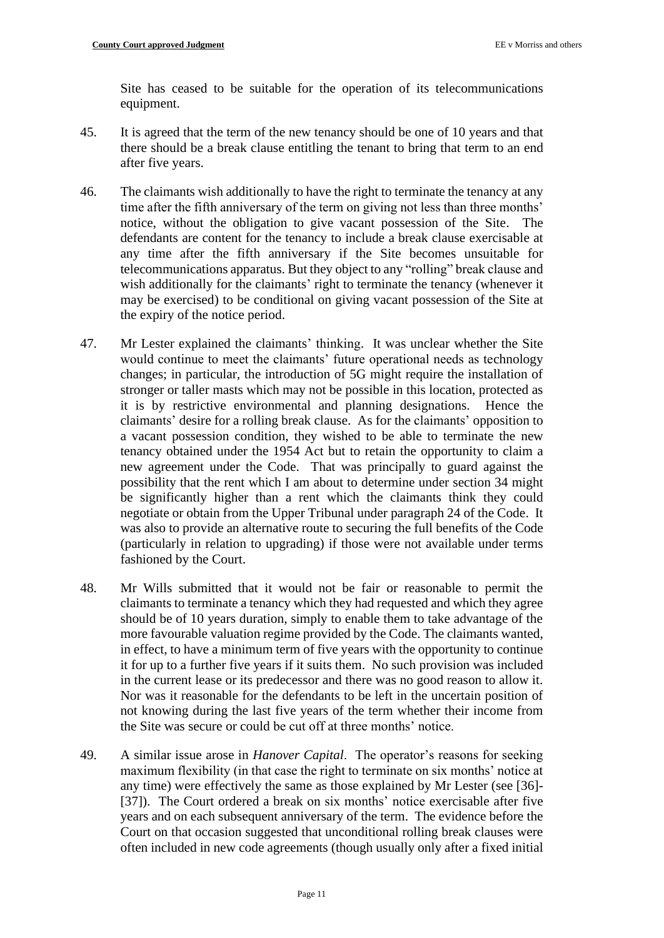Site has ceased to be suitable for the operation of its telecommunications equipment.

- 45. It is agreed that the term of the new tenancy should be one of 10 years and that there should be a break clause entitling the tenant to bring that term to an end after five years.
- 46. The claimants wish additionally to have the right to terminate the tenancy at any time after the fifth anniversary of the term on giving not less than three months' notice, without the obligation to give vacant possession of the Site. The defendants are content for the tenancy to include a break clause exercisable at any time after the fifth anniversary if the Site becomes unsuitable for telecommunications apparatus. But they object to any "rolling" break clause and wish additionally for the claimants' right to terminate the tenancy (whenever it may be exercised) to be conditional on giving vacant possession of the Site at the expiry of the notice period.
- 47. Mr Lester explained the claimants' thinking. It was unclear whether the Site would continue to meet the claimants' future operational needs as technology changes; in particular, the introduction of 5G might require the installation of stronger or taller masts which may not be possible in this location, protected as it is by restrictive environmental and planning designations. Hence the claimants' desire for a rolling break clause. As for the claimants' opposition to a vacant possession condition, they wished to be able to terminate the new tenancy obtained under the 1954 Act but to retain the opportunity to claim a new agreement under the Code. That was principally to guard against the possibility that the rent which I am about to determine under section 34 might be significantly higher than a rent which the claimants think they could negotiate or obtain from the Upper Tribunal under paragraph 24 of the Code. It was also to provide an alternative route to securing the full benefits of the Code (particularly in relation to upgrading) if those were not available under terms fashioned by the Court.
- 48. Mr Wills submitted that it would not be fair or reasonable to permit the claimants to terminate a tenancy which they had requested and which they agree should be of 10 years duration, simply to enable them to take advantage of the more favourable valuation regime provided by the Code. The claimants wanted, in effect, to have a minimum term of five years with the opportunity to continue it for up to a further five years if it suits them. No such provision was included in the current lease or its predecessor and there was no good reason to allow it. Nor was it reasonable for the defendants to be left in the uncertain position of not knowing during the last five years of the term whether their income from the Site was secure or could be cut off at three months' notice.
- 49. A similar issue arose in *Hanover Capital*. The operator's reasons for seeking maximum flexibility (in that case the right to terminate on six months' notice at any time) were effectively the same as those explained by Mr Lester (see [36]- [37]). The Court ordered a break on six months' notice exercisable after five years and on each subsequent anniversary of the term. The evidence before the Court on that occasion suggested that unconditional rolling break clauses were often included in new code agreements (though usually only after a fixed initial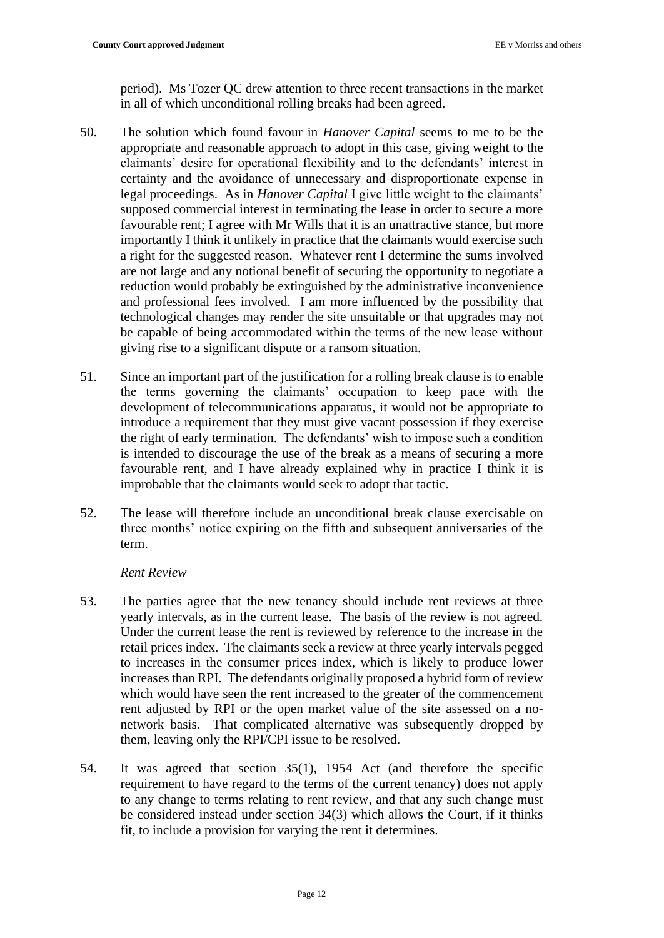period). Ms Tozer QC drew attention to three recent transactions in the market in all of which unconditional rolling breaks had been agreed.

- 50. The solution which found favour in *Hanover Capital* seems to me to be the appropriate and reasonable approach to adopt in this case, giving weight to the claimants' desire for operational flexibility and to the defendants' interest in certainty and the avoidance of unnecessary and disproportionate expense in legal proceedings. As in *Hanover Capital* I give little weight to the claimants' supposed commercial interest in terminating the lease in order to secure a more favourable rent; I agree with Mr Wills that it is an unattractive stance, but more importantly I think it unlikely in practice that the claimants would exercise such a right for the suggested reason. Whatever rent I determine the sums involved are not large and any notional benefit of securing the opportunity to negotiate a reduction would probably be extinguished by the administrative inconvenience and professional fees involved. I am more influenced by the possibility that technological changes may render the site unsuitable or that upgrades may not be capable of being accommodated within the terms of the new lease without giving rise to a significant dispute or a ransom situation.
- 51. Since an important part of the justification for a rolling break clause is to enable the terms governing the claimants' occupation to keep pace with the development of telecommunications apparatus, it would not be appropriate to introduce a requirement that they must give vacant possession if they exercise the right of early termination. The defendants' wish to impose such a condition is intended to discourage the use of the break as a means of securing a more favourable rent, and I have already explained why in practice I think it is improbable that the claimants would seek to adopt that tactic.
- 52. The lease will therefore include an unconditional break clause exercisable on three months' notice expiring on the fifth and subsequent anniversaries of the term.

# *Rent Review*

- 53. The parties agree that the new tenancy should include rent reviews at three yearly intervals, as in the current lease. The basis of the review is not agreed. Under the current lease the rent is reviewed by reference to the increase in the retail prices index. The claimants seek a review at three yearly intervals pegged to increases in the consumer prices index, which is likely to produce lower increases than RPI. The defendants originally proposed a hybrid form of review which would have seen the rent increased to the greater of the commencement rent adjusted by RPI or the open market value of the site assessed on a nonetwork basis. That complicated alternative was subsequently dropped by them, leaving only the RPI/CPI issue to be resolved.
- 54. It was agreed that section 35(1), 1954 Act (and therefore the specific requirement to have regard to the terms of the current tenancy) does not apply to any change to terms relating to rent review, and that any such change must be considered instead under section 34(3) which allows the Court, if it thinks fit, to include a provision for varying the rent it determines.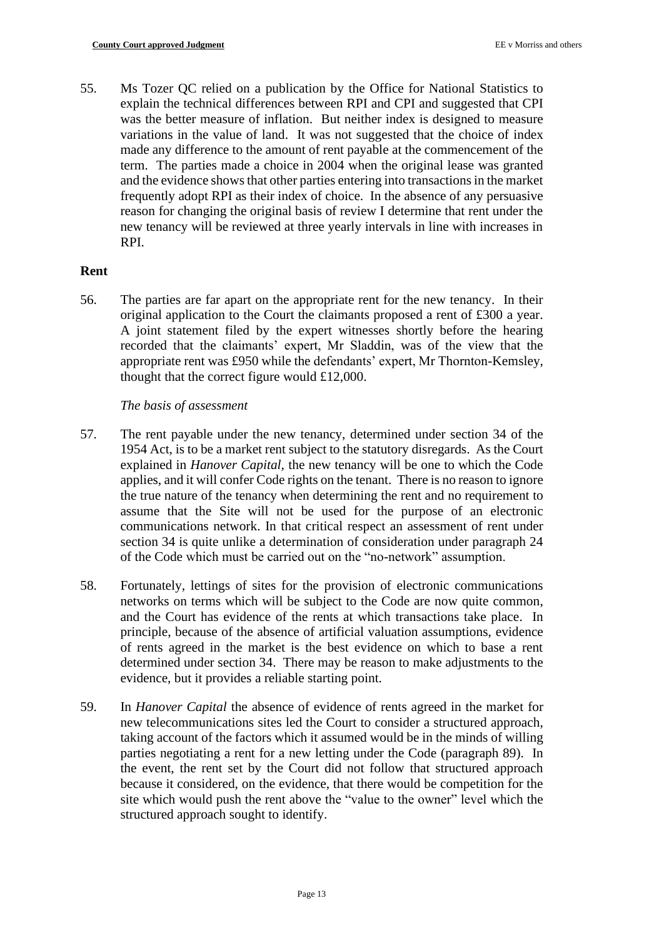55. Ms Tozer QC relied on a publication by the Office for National Statistics to explain the technical differences between RPI and CPI and suggested that CPI was the better measure of inflation. But neither index is designed to measure variations in the value of land. It was not suggested that the choice of index made any difference to the amount of rent payable at the commencement of the term. The parties made a choice in 2004 when the original lease was granted and the evidence shows that other parties entering into transactions in the market frequently adopt RPI as their index of choice. In the absence of any persuasive reason for changing the original basis of review I determine that rent under the new tenancy will be reviewed at three yearly intervals in line with increases in RPI.

### **Rent**

56. The parties are far apart on the appropriate rent for the new tenancy. In their original application to the Court the claimants proposed a rent of £300 a year. A joint statement filed by the expert witnesses shortly before the hearing recorded that the claimants' expert, Mr Sladdin, was of the view that the appropriate rent was £950 while the defendants' expert, Mr Thornton-Kemsley, thought that the correct figure would £12,000.

### *The basis of assessment*

- 57. The rent payable under the new tenancy, determined under section 34 of the 1954 Act, is to be a market rent subject to the statutory disregards. As the Court explained in *Hanover Capital,* the new tenancy will be one to which the Code applies, and it will confer Code rights on the tenant. There is no reason to ignore the true nature of the tenancy when determining the rent and no requirement to assume that the Site will not be used for the purpose of an electronic communications network. In that critical respect an assessment of rent under section 34 is quite unlike a determination of consideration under paragraph 24 of the Code which must be carried out on the "no-network" assumption.
- 58. Fortunately, lettings of sites for the provision of electronic communications networks on terms which will be subject to the Code are now quite common, and the Court has evidence of the rents at which transactions take place. In principle, because of the absence of artificial valuation assumptions, evidence of rents agreed in the market is the best evidence on which to base a rent determined under section 34. There may be reason to make adjustments to the evidence, but it provides a reliable starting point.
- 59. In *Hanover Capital* the absence of evidence of rents agreed in the market for new telecommunications sites led the Court to consider a structured approach, taking account of the factors which it assumed would be in the minds of willing parties negotiating a rent for a new letting under the Code (paragraph 89). In the event, the rent set by the Court did not follow that structured approach because it considered, on the evidence, that there would be competition for the site which would push the rent above the "value to the owner" level which the structured approach sought to identify.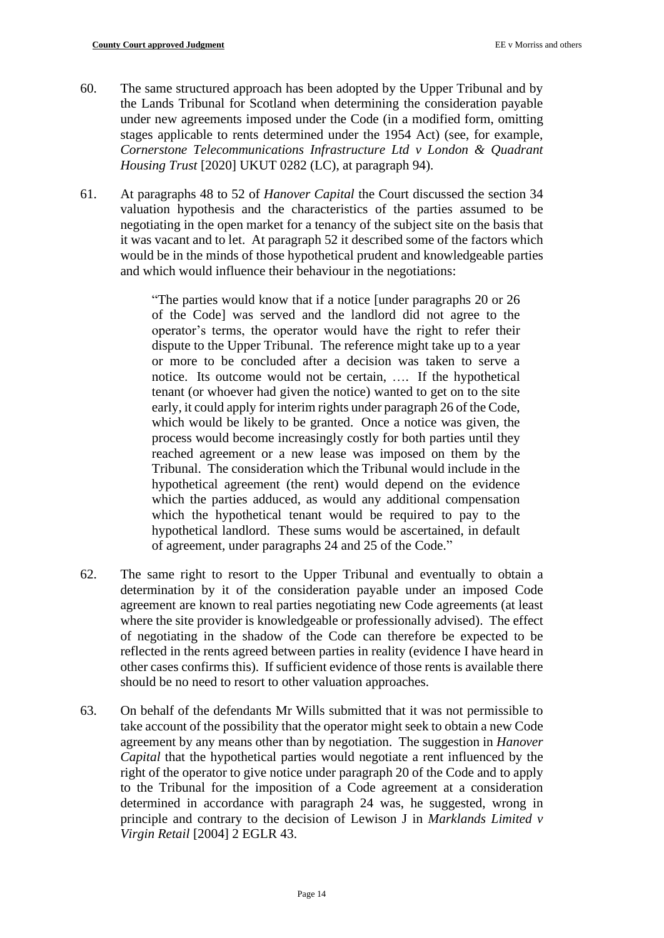- 60. The same structured approach has been adopted by the Upper Tribunal and by the Lands Tribunal for Scotland when determining the consideration payable under new agreements imposed under the Code (in a modified form, omitting stages applicable to rents determined under the 1954 Act) (see, for example, *Cornerstone Telecommunications Infrastructure Ltd v London & Quadrant Housing Trust* [2020] UKUT 0282 (LC), at paragraph 94).
- 61. At paragraphs 48 to 52 of *Hanover Capital* the Court discussed the section 34 valuation hypothesis and the characteristics of the parties assumed to be negotiating in the open market for a tenancy of the subject site on the basis that it was vacant and to let. At paragraph 52 it described some of the factors which would be in the minds of those hypothetical prudent and knowledgeable parties and which would influence their behaviour in the negotiations:

"The parties would know that if a notice [under paragraphs 20 or 26 of the Code] was served and the landlord did not agree to the operator's terms, the operator would have the right to refer their dispute to the Upper Tribunal. The reference might take up to a year or more to be concluded after a decision was taken to serve a notice. Its outcome would not be certain, …. If the hypothetical tenant (or whoever had given the notice) wanted to get on to the site early, it could apply for interim rights under paragraph 26 of the Code, which would be likely to be granted. Once a notice was given, the process would become increasingly costly for both parties until they reached agreement or a new lease was imposed on them by the Tribunal. The consideration which the Tribunal would include in the hypothetical agreement (the rent) would depend on the evidence which the parties adduced, as would any additional compensation which the hypothetical tenant would be required to pay to the hypothetical landlord. These sums would be ascertained, in default of agreement, under paragraphs 24 and 25 of the Code."

- 62. The same right to resort to the Upper Tribunal and eventually to obtain a determination by it of the consideration payable under an imposed Code agreement are known to real parties negotiating new Code agreements (at least where the site provider is knowledgeable or professionally advised). The effect of negotiating in the shadow of the Code can therefore be expected to be reflected in the rents agreed between parties in reality (evidence I have heard in other cases confirms this). If sufficient evidence of those rents is available there should be no need to resort to other valuation approaches.
- 63. On behalf of the defendants Mr Wills submitted that it was not permissible to take account of the possibility that the operator might seek to obtain a new Code agreement by any means other than by negotiation. The suggestion in *Hanover Capital* that the hypothetical parties would negotiate a rent influenced by the right of the operator to give notice under paragraph 20 of the Code and to apply to the Tribunal for the imposition of a Code agreement at a consideration determined in accordance with paragraph 24 was, he suggested, wrong in principle and contrary to the decision of Lewison J in *Marklands Limited v Virgin Retail* [2004] 2 EGLR 43.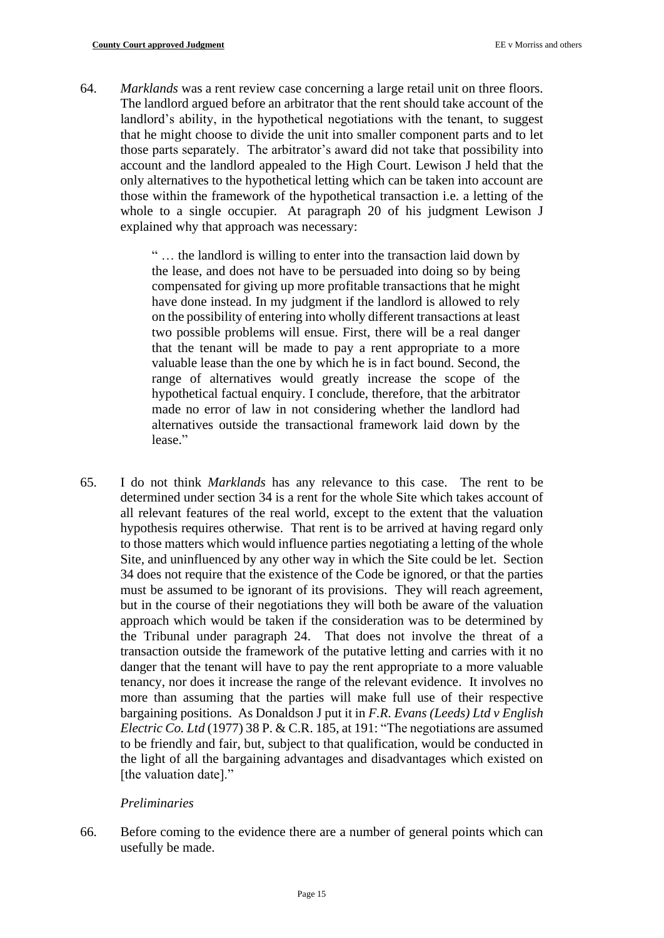64. *Marklands* was a rent review case concerning a large retail unit on three floors. The landlord argued before an arbitrator that the rent should take account of the landlord's ability, in the hypothetical negotiations with the tenant, to suggest that he might choose to divide the unit into smaller component parts and to let those parts separately. The arbitrator's award did not take that possibility into account and the landlord appealed to the High Court. Lewison J held that the only alternatives to the hypothetical letting which can be taken into account are those within the framework of the hypothetical transaction i.e. a letting of the whole to a single occupier*.* At paragraph 20 of his judgment Lewison J explained why that approach was necessary:

> " … the landlord is willing to enter into the transaction laid down by the lease, and does not have to be persuaded into doing so by being compensated for giving up more profitable transactions that he might have done instead. In my judgment if the landlord is allowed to rely on the possibility of entering into wholly different transactions at least two possible problems will ensue. First, there will be a real danger that the tenant will be made to pay a rent appropriate to a more valuable lease than the one by which he is in fact bound. Second, the range of alternatives would greatly increase the scope of the hypothetical factual enquiry. I conclude, therefore, that the arbitrator made no error of law in not considering whether the landlord had alternatives outside the transactional framework laid down by the lease."

65. I do not think *Marklands* has any relevance to this case. The rent to be determined under section 34 is a rent for the whole Site which takes account of all relevant features of the real world, except to the extent that the valuation hypothesis requires otherwise. That rent is to be arrived at having regard only to those matters which would influence parties negotiating a letting of the whole Site, and uninfluenced by any other way in which the Site could be let. Section 34 does not require that the existence of the Code be ignored, or that the parties must be assumed to be ignorant of its provisions. They will reach agreement, but in the course of their negotiations they will both be aware of the valuation approach which would be taken if the consideration was to be determined by the Tribunal under paragraph 24. That does not involve the threat of a transaction outside the framework of the putative letting and carries with it no danger that the tenant will have to pay the rent appropriate to a more valuable tenancy, nor does it increase the range of the relevant evidence. It involves no more than assuming that the parties will make full use of their respective bargaining positions. As Donaldson J put it in *F.R. Evans (Leeds) Ltd v English Electric Co. Ltd* (1977) 38 P. & C.R. 185, at 191: "The negotiations are assumed to be friendly and fair, but, subject to that qualification, would be conducted in the light of all the bargaining advantages and disadvantages which existed on [the valuation date]."

# *Preliminaries*

66. Before coming to the evidence there are a number of general points which can usefully be made.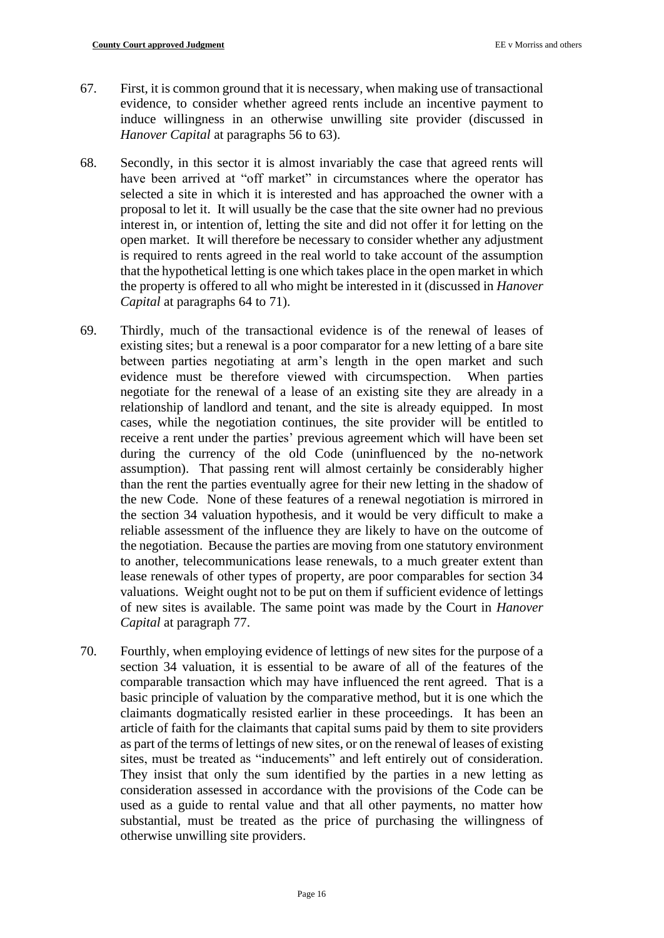- 67. First, it is common ground that it is necessary, when making use of transactional evidence, to consider whether agreed rents include an incentive payment to induce willingness in an otherwise unwilling site provider (discussed in *Hanover Capital* at paragraphs 56 to 63).
- 68. Secondly, in this sector it is almost invariably the case that agreed rents will have been arrived at "off market" in circumstances where the operator has selected a site in which it is interested and has approached the owner with a proposal to let it. It will usually be the case that the site owner had no previous interest in, or intention of, letting the site and did not offer it for letting on the open market. It will therefore be necessary to consider whether any adjustment is required to rents agreed in the real world to take account of the assumption that the hypothetical letting is one which takes place in the open market in which the property is offered to all who might be interested in it (discussed in *Hanover Capital* at paragraphs 64 to 71).
- 69. Thirdly, much of the transactional evidence is of the renewal of leases of existing sites; but a renewal is a poor comparator for a new letting of a bare site between parties negotiating at arm's length in the open market and such evidence must be therefore viewed with circumspection. When parties negotiate for the renewal of a lease of an existing site they are already in a relationship of landlord and tenant, and the site is already equipped. In most cases, while the negotiation continues, the site provider will be entitled to receive a rent under the parties' previous agreement which will have been set during the currency of the old Code (uninfluenced by the no-network assumption). That passing rent will almost certainly be considerably higher than the rent the parties eventually agree for their new letting in the shadow of the new Code. None of these features of a renewal negotiation is mirrored in the section 34 valuation hypothesis, and it would be very difficult to make a reliable assessment of the influence they are likely to have on the outcome of the negotiation. Because the parties are moving from one statutory environment to another, telecommunications lease renewals, to a much greater extent than lease renewals of other types of property, are poor comparables for section 34 valuations. Weight ought not to be put on them if sufficient evidence of lettings of new sites is available. The same point was made by the Court in *Hanover Capital* at paragraph 77.
- 70. Fourthly, when employing evidence of lettings of new sites for the purpose of a section 34 valuation, it is essential to be aware of all of the features of the comparable transaction which may have influenced the rent agreed. That is a basic principle of valuation by the comparative method, but it is one which the claimants dogmatically resisted earlier in these proceedings. It has been an article of faith for the claimants that capital sums paid by them to site providers as part of the terms of lettings of new sites, or on the renewal of leases of existing sites, must be treated as "inducements" and left entirely out of consideration. They insist that only the sum identified by the parties in a new letting as consideration assessed in accordance with the provisions of the Code can be used as a guide to rental value and that all other payments, no matter how substantial, must be treated as the price of purchasing the willingness of otherwise unwilling site providers.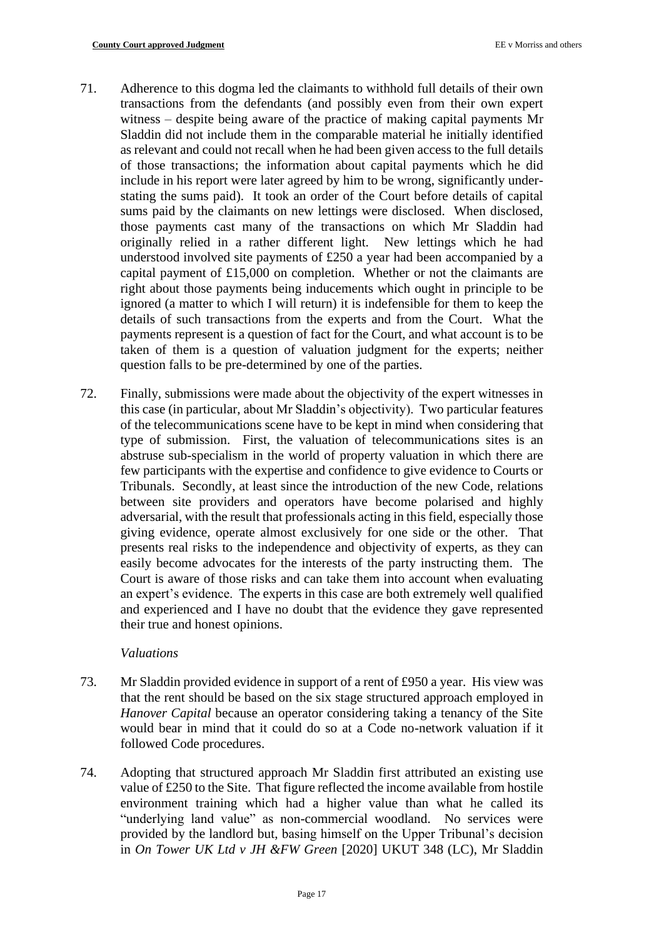- 71. Adherence to this dogma led the claimants to withhold full details of their own transactions from the defendants (and possibly even from their own expert witness – despite being aware of the practice of making capital payments Mr Sladdin did not include them in the comparable material he initially identified as relevant and could not recall when he had been given access to the full details of those transactions; the information about capital payments which he did include in his report were later agreed by him to be wrong, significantly understating the sums paid). It took an order of the Court before details of capital sums paid by the claimants on new lettings were disclosed. When disclosed, those payments cast many of the transactions on which Mr Sladdin had originally relied in a rather different light. New lettings which he had understood involved site payments of £250 a year had been accompanied by a capital payment of £15,000 on completion. Whether or not the claimants are right about those payments being inducements which ought in principle to be ignored (a matter to which I will return) it is indefensible for them to keep the details of such transactions from the experts and from the Court. What the payments represent is a question of fact for the Court, and what account is to be taken of them is a question of valuation judgment for the experts; neither question falls to be pre-determined by one of the parties.
- 72. Finally, submissions were made about the objectivity of the expert witnesses in this case (in particular, about Mr Sladdin's objectivity). Two particular features of the telecommunications scene have to be kept in mind when considering that type of submission. First, the valuation of telecommunications sites is an abstruse sub-specialism in the world of property valuation in which there are few participants with the expertise and confidence to give evidence to Courts or Tribunals. Secondly, at least since the introduction of the new Code, relations between site providers and operators have become polarised and highly adversarial, with the result that professionals acting in thisfield, especially those giving evidence, operate almost exclusively for one side or the other. That presents real risks to the independence and objectivity of experts, as they can easily become advocates for the interests of the party instructing them. The Court is aware of those risks and can take them into account when evaluating an expert's evidence. The experts in this case are both extremely well qualified and experienced and I have no doubt that the evidence they gave represented their true and honest opinions.

#### *Valuations*

- 73. Mr Sladdin provided evidence in support of a rent of £950 a year. His view was that the rent should be based on the six stage structured approach employed in *Hanover Capital* because an operator considering taking a tenancy of the Site would bear in mind that it could do so at a Code no-network valuation if it followed Code procedures.
- 74. Adopting that structured approach Mr Sladdin first attributed an existing use value of £250 to the Site. That figure reflected the income available from hostile environment training which had a higher value than what he called its "underlying land value" as non-commercial woodland. No services were provided by the landlord but, basing himself on the Upper Tribunal's decision in *On Tower UK Ltd v JH &FW Green* [2020] UKUT 348 (LC), Mr Sladdin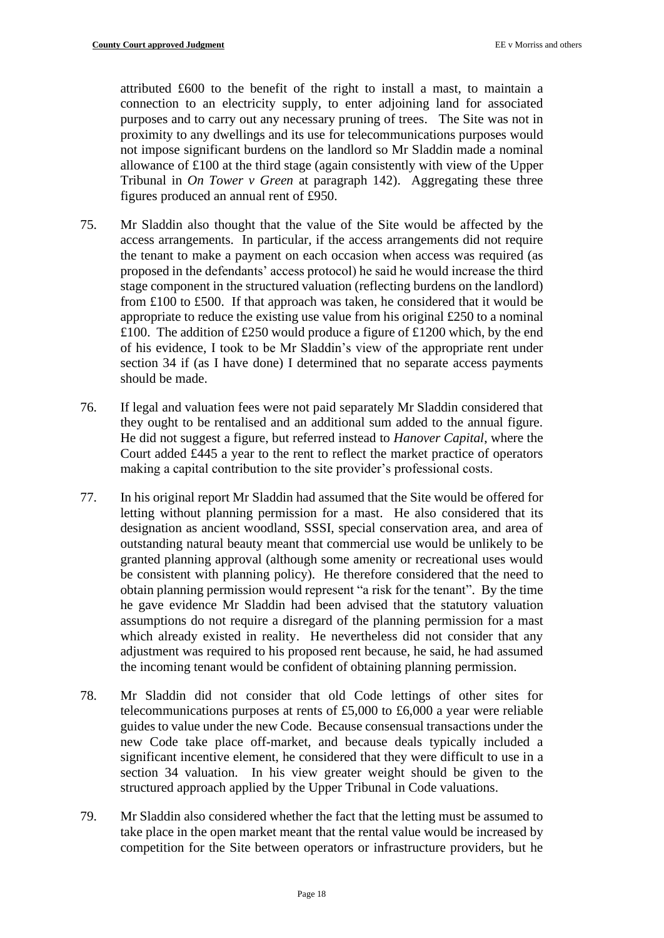attributed £600 to the benefit of the right to install a mast, to maintain a connection to an electricity supply, to enter adjoining land for associated purposes and to carry out any necessary pruning of trees. The Site was not in proximity to any dwellings and its use for telecommunications purposes would not impose significant burdens on the landlord so Mr Sladdin made a nominal allowance of £100 at the third stage (again consistently with view of the Upper Tribunal in *On Tower v Green* at paragraph 142). Aggregating these three figures produced an annual rent of £950.

- 75. Mr Sladdin also thought that the value of the Site would be affected by the access arrangements. In particular, if the access arrangements did not require the tenant to make a payment on each occasion when access was required (as proposed in the defendants' access protocol) he said he would increase the third stage component in the structured valuation (reflecting burdens on the landlord) from £100 to £500. If that approach was taken, he considered that it would be appropriate to reduce the existing use value from his original £250 to a nominal £100. The addition of £250 would produce a figure of £1200 which, by the end of his evidence, I took to be Mr Sladdin's view of the appropriate rent under section 34 if (as I have done) I determined that no separate access payments should be made.
- 76. If legal and valuation fees were not paid separately Mr Sladdin considered that they ought to be rentalised and an additional sum added to the annual figure. He did not suggest a figure, but referred instead to *Hanover Capital*, where the Court added £445 a year to the rent to reflect the market practice of operators making a capital contribution to the site provider's professional costs.
- 77. In his original report Mr Sladdin had assumed that the Site would be offered for letting without planning permission for a mast. He also considered that its designation as ancient woodland, SSSI, special conservation area, and area of outstanding natural beauty meant that commercial use would be unlikely to be granted planning approval (although some amenity or recreational uses would be consistent with planning policy). He therefore considered that the need to obtain planning permission would represent "a risk for the tenant". By the time he gave evidence Mr Sladdin had been advised that the statutory valuation assumptions do not require a disregard of the planning permission for a mast which already existed in reality. He nevertheless did not consider that any adjustment was required to his proposed rent because, he said, he had assumed the incoming tenant would be confident of obtaining planning permission.
- 78. Mr Sladdin did not consider that old Code lettings of other sites for telecommunications purposes at rents of £5,000 to £6,000 a year were reliable guides to value under the new Code. Because consensual transactions under the new Code take place off-market, and because deals typically included a significant incentive element, he considered that they were difficult to use in a section 34 valuation. In his view greater weight should be given to the structured approach applied by the Upper Tribunal in Code valuations.
- 79. Mr Sladdin also considered whether the fact that the letting must be assumed to take place in the open market meant that the rental value would be increased by competition for the Site between operators or infrastructure providers, but he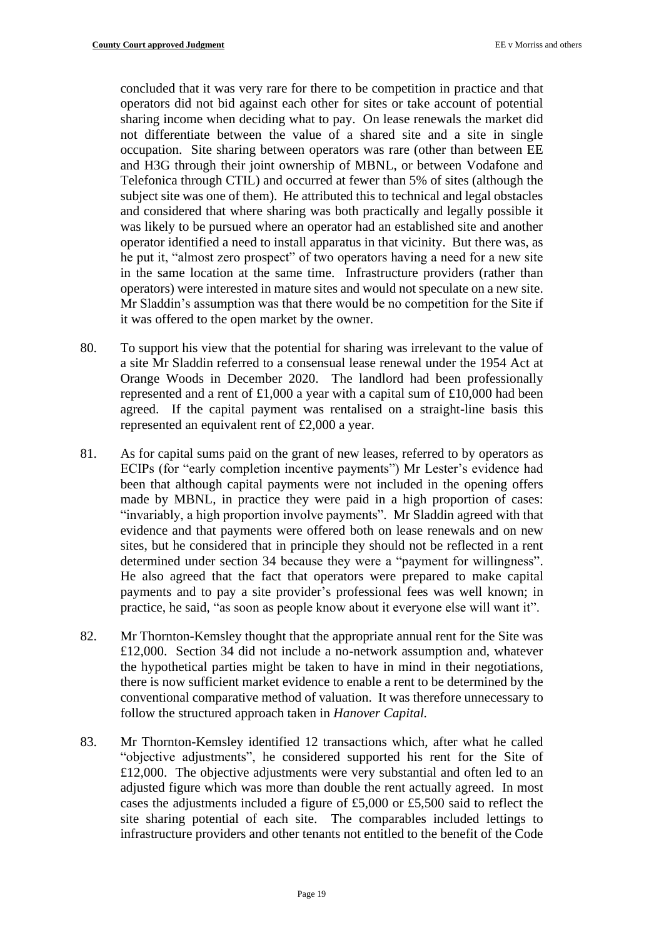concluded that it was very rare for there to be competition in practice and that operators did not bid against each other for sites or take account of potential sharing income when deciding what to pay. On lease renewals the market did not differentiate between the value of a shared site and a site in single occupation. Site sharing between operators was rare (other than between EE and H3G through their joint ownership of MBNL, or between Vodafone and Telefonica through CTIL) and occurred at fewer than 5% of sites (although the subject site was one of them). He attributed this to technical and legal obstacles and considered that where sharing was both practically and legally possible it was likely to be pursued where an operator had an established site and another operator identified a need to install apparatus in that vicinity. But there was, as he put it, "almost zero prospect" of two operators having a need for a new site in the same location at the same time. Infrastructure providers (rather than operators) were interested in mature sites and would not speculate on a new site. Mr Sladdin's assumption was that there would be no competition for the Site if it was offered to the open market by the owner.

- 80. To support his view that the potential for sharing was irrelevant to the value of a site Mr Sladdin referred to a consensual lease renewal under the 1954 Act at Orange Woods in December 2020. The landlord had been professionally represented and a rent of £1,000 a year with a capital sum of £10,000 had been agreed. If the capital payment was rentalised on a straight-line basis this represented an equivalent rent of £2,000 a year.
- 81. As for capital sums paid on the grant of new leases, referred to by operators as ECIPs (for "early completion incentive payments") Mr Lester's evidence had been that although capital payments were not included in the opening offers made by MBNL, in practice they were paid in a high proportion of cases: "invariably, a high proportion involve payments". Mr Sladdin agreed with that evidence and that payments were offered both on lease renewals and on new sites, but he considered that in principle they should not be reflected in a rent determined under section 34 because they were a "payment for willingness". He also agreed that the fact that operators were prepared to make capital payments and to pay a site provider's professional fees was well known; in practice, he said, "as soon as people know about it everyone else will want it".
- 82. Mr Thornton-Kemsley thought that the appropriate annual rent for the Site was £12,000. Section 34 did not include a no-network assumption and, whatever the hypothetical parties might be taken to have in mind in their negotiations, there is now sufficient market evidence to enable a rent to be determined by the conventional comparative method of valuation. It was therefore unnecessary to follow the structured approach taken in *Hanover Capital.*
- 83. Mr Thornton-Kemsley identified 12 transactions which, after what he called "objective adjustments", he considered supported his rent for the Site of £12,000. The objective adjustments were very substantial and often led to an adjusted figure which was more than double the rent actually agreed. In most cases the adjustments included a figure of £5,000 or £5,500 said to reflect the site sharing potential of each site. The comparables included lettings to infrastructure providers and other tenants not entitled to the benefit of the Code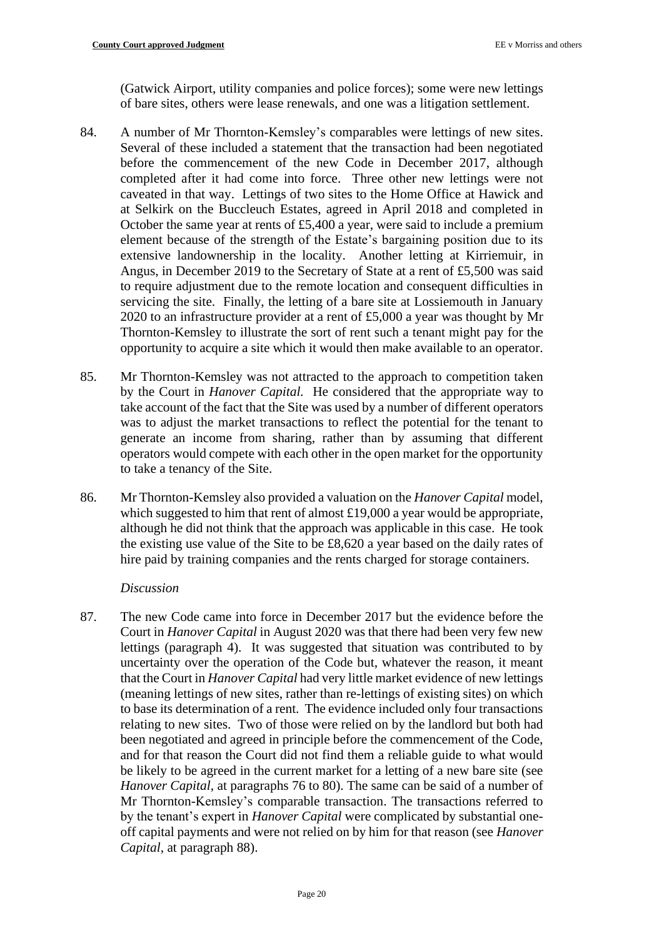(Gatwick Airport, utility companies and police forces); some were new lettings of bare sites, others were lease renewals, and one was a litigation settlement.

- 84. A number of Mr Thornton-Kemsley's comparables were lettings of new sites. Several of these included a statement that the transaction had been negotiated before the commencement of the new Code in December 2017, although completed after it had come into force. Three other new lettings were not caveated in that way. Lettings of two sites to the Home Office at Hawick and at Selkirk on the Buccleuch Estates, agreed in April 2018 and completed in October the same year at rents of £5,400 a year, were said to include a premium element because of the strength of the Estate's bargaining position due to its extensive landownership in the locality. Another letting at Kirriemuir, in Angus, in December 2019 to the Secretary of State at a rent of £5,500 was said to require adjustment due to the remote location and consequent difficulties in servicing the site. Finally, the letting of a bare site at Lossiemouth in January 2020 to an infrastructure provider at a rent of £5,000 a year was thought by Mr Thornton-Kemsley to illustrate the sort of rent such a tenant might pay for the opportunity to acquire a site which it would then make available to an operator.
- 85. Mr Thornton-Kemsley was not attracted to the approach to competition taken by the Court in *Hanover Capital.* He considered that the appropriate way to take account of the fact that the Site was used by a number of different operators was to adjust the market transactions to reflect the potential for the tenant to generate an income from sharing, rather than by assuming that different operators would compete with each other in the open market for the opportunity to take a tenancy of the Site.
- 86. Mr Thornton-Kemsley also provided a valuation on the *Hanover Capital* model, which suggested to him that rent of almost £19,000 a year would be appropriate, although he did not think that the approach was applicable in this case. He took the existing use value of the Site to be £8,620 a year based on the daily rates of hire paid by training companies and the rents charged for storage containers.

#### *Discussion*

87. The new Code came into force in December 2017 but the evidence before the Court in *Hanover Capital* in August 2020 was that there had been very few new lettings (paragraph 4). It was suggested that situation was contributed to by uncertainty over the operation of the Code but, whatever the reason, it meant that the Court in *Hanover Capital* had very little market evidence of new lettings (meaning lettings of new sites, rather than re-lettings of existing sites) on which to base its determination of a rent. The evidence included only four transactions relating to new sites. Two of those were relied on by the landlord but both had been negotiated and agreed in principle before the commencement of the Code, and for that reason the Court did not find them a reliable guide to what would be likely to be agreed in the current market for a letting of a new bare site (see *Hanover Capital,* at paragraphs 76 to 80). The same can be said of a number of Mr Thornton-Kemsley's comparable transaction. The transactions referred to by the tenant's expert in *Hanover Capital* were complicated by substantial oneoff capital payments and were not relied on by him for that reason (see *Hanover Capital*, at paragraph 88).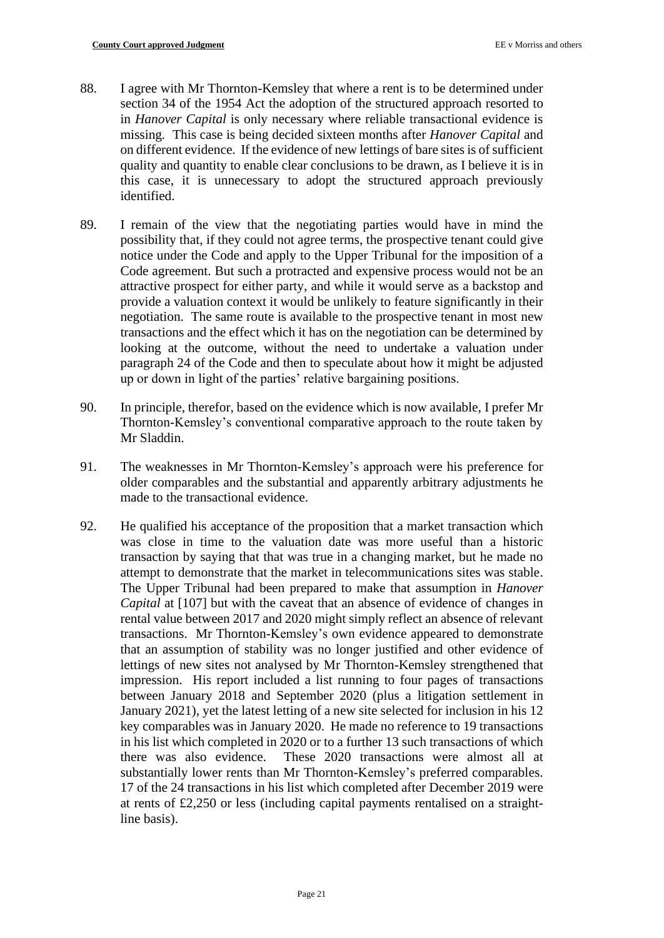- 88. I agree with Mr Thornton-Kemsley that where a rent is to be determined under section 34 of the 1954 Act the adoption of the structured approach resorted to in *Hanover Capital* is only necessary where reliable transactional evidence is missing*.* This case is being decided sixteen months after *Hanover Capital* and on different evidence. If the evidence of new lettings of bare sites is of sufficient quality and quantity to enable clear conclusions to be drawn, as I believe it is in this case, it is unnecessary to adopt the structured approach previously identified.
- 89. I remain of the view that the negotiating parties would have in mind the possibility that, if they could not agree terms, the prospective tenant could give notice under the Code and apply to the Upper Tribunal for the imposition of a Code agreement. But such a protracted and expensive process would not be an attractive prospect for either party, and while it would serve as a backstop and provide a valuation context it would be unlikely to feature significantly in their negotiation. The same route is available to the prospective tenant in most new transactions and the effect which it has on the negotiation can be determined by looking at the outcome, without the need to undertake a valuation under paragraph 24 of the Code and then to speculate about how it might be adjusted up or down in light of the parties' relative bargaining positions.
- 90. In principle, therefor, based on the evidence which is now available, I prefer Mr Thornton-Kemsley's conventional comparative approach to the route taken by Mr Sladdin.
- 91. The weaknesses in Mr Thornton-Kemsley's approach were his preference for older comparables and the substantial and apparently arbitrary adjustments he made to the transactional evidence.
- 92. He qualified his acceptance of the proposition that a market transaction which was close in time to the valuation date was more useful than a historic transaction by saying that that was true in a changing market, but he made no attempt to demonstrate that the market in telecommunications sites was stable. The Upper Tribunal had been prepared to make that assumption in *Hanover Capital* at [107] but with the caveat that an absence of evidence of changes in rental value between 2017 and 2020 might simply reflect an absence of relevant transactions. Mr Thornton-Kemsley's own evidence appeared to demonstrate that an assumption of stability was no longer justified and other evidence of lettings of new sites not analysed by Mr Thornton-Kemsley strengthened that impression. His report included a list running to four pages of transactions between January 2018 and September 2020 (plus a litigation settlement in January 2021), yet the latest letting of a new site selected for inclusion in his 12 key comparables was in January 2020. He made no reference to 19 transactions in his list which completed in 2020 or to a further 13 such transactions of which there was also evidence. These 2020 transactions were almost all at substantially lower rents than Mr Thornton-Kemsley's preferred comparables. 17 of the 24 transactions in his list which completed after December 2019 were at rents of £2,250 or less (including capital payments rentalised on a straightline basis).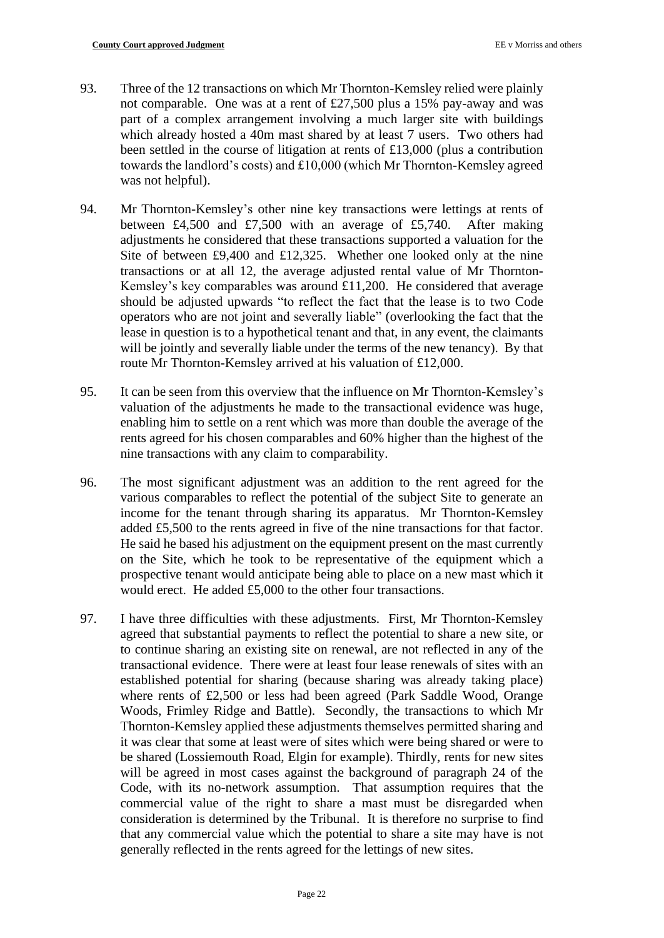- 93. Three of the 12 transactions on which Mr Thornton-Kemsley relied were plainly not comparable. One was at a rent of £27,500 plus a 15% pay-away and was part of a complex arrangement involving a much larger site with buildings which already hosted a 40m mast shared by at least 7 users. Two others had been settled in the course of litigation at rents of £13,000 (plus a contribution towards the landlord's costs) and £10,000 (which Mr Thornton-Kemsley agreed was not helpful).
- 94. Mr Thornton-Kemsley's other nine key transactions were lettings at rents of between £4,500 and £7,500 with an average of £5,740. After making adjustments he considered that these transactions supported a valuation for the Site of between £9,400 and £12,325. Whether one looked only at the nine transactions or at all 12, the average adjusted rental value of Mr Thornton-Kemsley's key comparables was around £11,200. He considered that average should be adjusted upwards "to reflect the fact that the lease is to two Code operators who are not joint and severally liable" (overlooking the fact that the lease in question is to a hypothetical tenant and that, in any event, the claimants will be jointly and severally liable under the terms of the new tenancy). By that route Mr Thornton-Kemsley arrived at his valuation of £12,000.
- 95. It can be seen from this overview that the influence on Mr Thornton-Kemsley's valuation of the adjustments he made to the transactional evidence was huge, enabling him to settle on a rent which was more than double the average of the rents agreed for his chosen comparables and 60% higher than the highest of the nine transactions with any claim to comparability.
- 96. The most significant adjustment was an addition to the rent agreed for the various comparables to reflect the potential of the subject Site to generate an income for the tenant through sharing its apparatus. Mr Thornton-Kemsley added £5,500 to the rents agreed in five of the nine transactions for that factor. He said he based his adjustment on the equipment present on the mast currently on the Site, which he took to be representative of the equipment which a prospective tenant would anticipate being able to place on a new mast which it would erect. He added £5,000 to the other four transactions.
- 97. I have three difficulties with these adjustments. First, Mr Thornton-Kemsley agreed that substantial payments to reflect the potential to share a new site, or to continue sharing an existing site on renewal, are not reflected in any of the transactional evidence. There were at least four lease renewals of sites with an established potential for sharing (because sharing was already taking place) where rents of £2,500 or less had been agreed (Park Saddle Wood, Orange Woods, Frimley Ridge and Battle). Secondly, the transactions to which Mr Thornton-Kemsley applied these adjustments themselves permitted sharing and it was clear that some at least were of sites which were being shared or were to be shared (Lossiemouth Road, Elgin for example). Thirdly, rents for new sites will be agreed in most cases against the background of paragraph 24 of the Code, with its no-network assumption. That assumption requires that the commercial value of the right to share a mast must be disregarded when consideration is determined by the Tribunal. It is therefore no surprise to find that any commercial value which the potential to share a site may have is not generally reflected in the rents agreed for the lettings of new sites.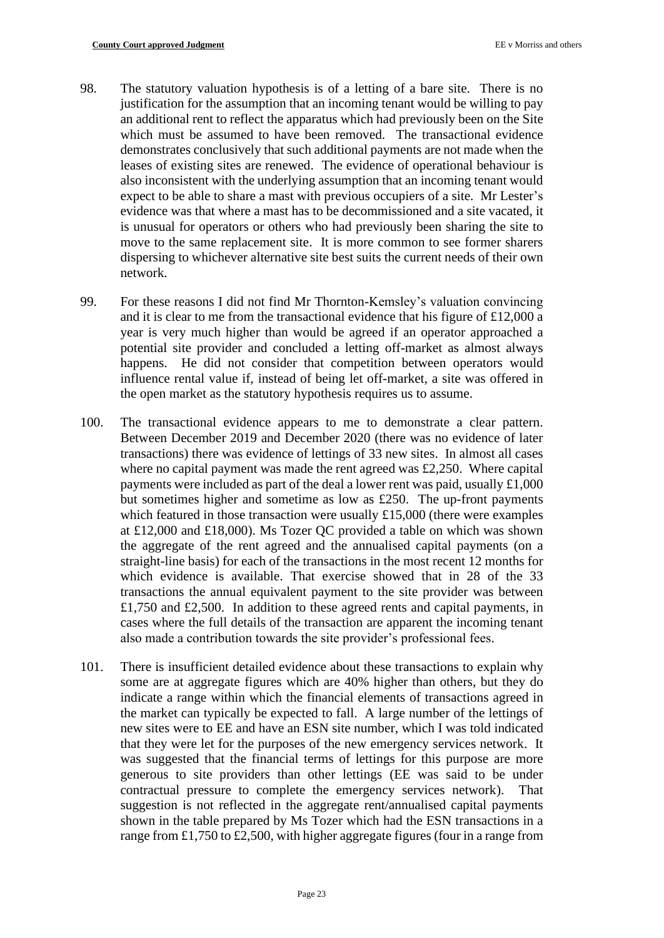- 98. The statutory valuation hypothesis is of a letting of a bare site. There is no justification for the assumption that an incoming tenant would be willing to pay an additional rent to reflect the apparatus which had previously been on the Site which must be assumed to have been removed. The transactional evidence demonstrates conclusively that such additional payments are not made when the leases of existing sites are renewed. The evidence of operational behaviour is also inconsistent with the underlying assumption that an incoming tenant would expect to be able to share a mast with previous occupiers of a site. Mr Lester's evidence was that where a mast has to be decommissioned and a site vacated, it is unusual for operators or others who had previously been sharing the site to move to the same replacement site. It is more common to see former sharers dispersing to whichever alternative site best suits the current needs of their own network.
- 99. For these reasons I did not find Mr Thornton-Kemsley's valuation convincing and it is clear to me from the transactional evidence that his figure of £12,000 a year is very much higher than would be agreed if an operator approached a potential site provider and concluded a letting off-market as almost always happens. He did not consider that competition between operators would influence rental value if, instead of being let off-market, a site was offered in the open market as the statutory hypothesis requires us to assume.
- 100. The transactional evidence appears to me to demonstrate a clear pattern. Between December 2019 and December 2020 (there was no evidence of later transactions) there was evidence of lettings of 33 new sites. In almost all cases where no capital payment was made the rent agreed was £2,250. Where capital payments were included as part of the deal a lower rent was paid, usually £1,000 but sometimes higher and sometime as low as £250. The up-front payments which featured in those transaction were usually  $£15,000$  (there were examples at £12,000 and £18,000). Ms Tozer QC provided a table on which was shown the aggregate of the rent agreed and the annualised capital payments (on a straight-line basis) for each of the transactions in the most recent 12 months for which evidence is available. That exercise showed that in 28 of the 33 transactions the annual equivalent payment to the site provider was between £1,750 and £2,500. In addition to these agreed rents and capital payments, in cases where the full details of the transaction are apparent the incoming tenant also made a contribution towards the site provider's professional fees.
- 101. There is insufficient detailed evidence about these transactions to explain why some are at aggregate figures which are 40% higher than others, but they do indicate a range within which the financial elements of transactions agreed in the market can typically be expected to fall. A large number of the lettings of new sites were to EE and have an ESN site number, which I was told indicated that they were let for the purposes of the new emergency services network. It was suggested that the financial terms of lettings for this purpose are more generous to site providers than other lettings (EE was said to be under contractual pressure to complete the emergency services network). That suggestion is not reflected in the aggregate rent/annualised capital payments shown in the table prepared by Ms Tozer which had the ESN transactions in a range from £1,750 to £2,500, with higher aggregate figures (four in a range from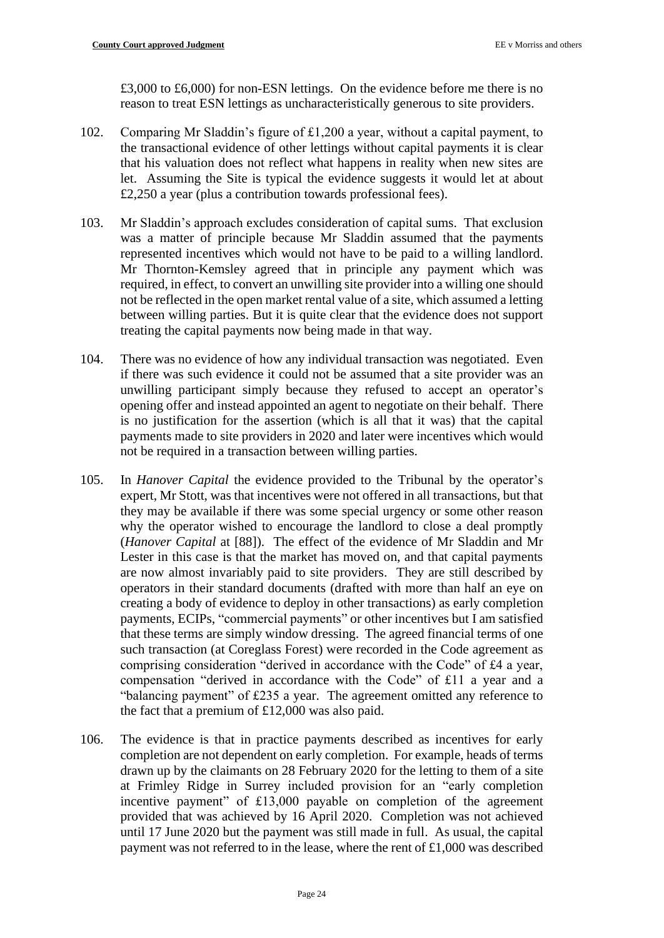£3,000 to £6,000) for non-ESN lettings. On the evidence before me there is no reason to treat ESN lettings as uncharacteristically generous to site providers.

- 102. Comparing Mr Sladdin's figure of £1,200 a year, without a capital payment, to the transactional evidence of other lettings without capital payments it is clear that his valuation does not reflect what happens in reality when new sites are let. Assuming the Site is typical the evidence suggests it would let at about £2,250 a year (plus a contribution towards professional fees).
- 103. Mr Sladdin's approach excludes consideration of capital sums. That exclusion was a matter of principle because Mr Sladdin assumed that the payments represented incentives which would not have to be paid to a willing landlord. Mr Thornton-Kemsley agreed that in principle any payment which was required, in effect, to convert an unwilling site provider into a willing one should not be reflected in the open market rental value of a site, which assumed a letting between willing parties. But it is quite clear that the evidence does not support treating the capital payments now being made in that way.
- 104. There was no evidence of how any individual transaction was negotiated. Even if there was such evidence it could not be assumed that a site provider was an unwilling participant simply because they refused to accept an operator's opening offer and instead appointed an agent to negotiate on their behalf. There is no justification for the assertion (which is all that it was) that the capital payments made to site providers in 2020 and later were incentives which would not be required in a transaction between willing parties.
- 105. In *Hanover Capital* the evidence provided to the Tribunal by the operator's expert, Mr Stott, was that incentives were not offered in all transactions, but that they may be available if there was some special urgency or some other reason why the operator wished to encourage the landlord to close a deal promptly (*Hanover Capital* at [88]). The effect of the evidence of Mr Sladdin and Mr Lester in this case is that the market has moved on, and that capital payments are now almost invariably paid to site providers. They are still described by operators in their standard documents (drafted with more than half an eye on creating a body of evidence to deploy in other transactions) as early completion payments, ECIPs, "commercial payments" or other incentives but I am satisfied that these terms are simply window dressing. The agreed financial terms of one such transaction (at Coreglass Forest) were recorded in the Code agreement as comprising consideration "derived in accordance with the Code" of £4 a year, compensation "derived in accordance with the Code" of £11 a year and a "balancing payment" of £235 a year. The agreement omitted any reference to the fact that a premium of £12,000 was also paid.
- 106. The evidence is that in practice payments described as incentives for early completion are not dependent on early completion. For example, heads of terms drawn up by the claimants on 28 February 2020 for the letting to them of a site at Frimley Ridge in Surrey included provision for an "early completion incentive payment" of £13,000 payable on completion of the agreement provided that was achieved by 16 April 2020. Completion was not achieved until 17 June 2020 but the payment was still made in full. As usual, the capital payment was not referred to in the lease, where the rent of  $\pounds1,000$  was described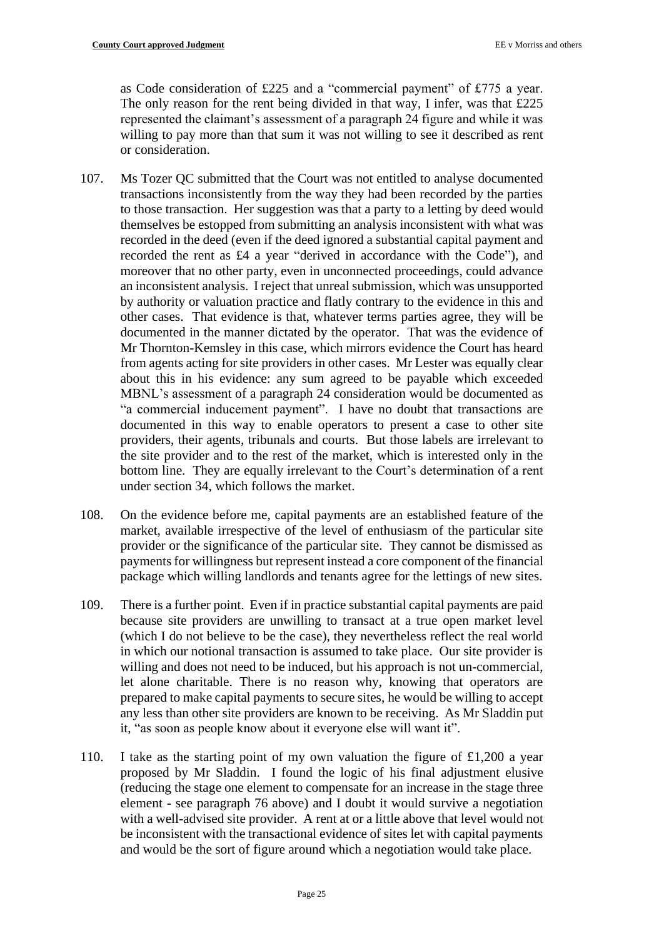as Code consideration of £225 and a "commercial payment" of £775 a year. The only reason for the rent being divided in that way, I infer, was that £225 represented the claimant's assessment of a paragraph 24 figure and while it was willing to pay more than that sum it was not willing to see it described as rent or consideration.

- 107. Ms Tozer QC submitted that the Court was not entitled to analyse documented transactions inconsistently from the way they had been recorded by the parties to those transaction. Her suggestion was that a party to a letting by deed would themselves be estopped from submitting an analysis inconsistent with what was recorded in the deed (even if the deed ignored a substantial capital payment and recorded the rent as £4 a year "derived in accordance with the Code"), and moreover that no other party, even in unconnected proceedings, could advance an inconsistent analysis. I reject that unreal submission, which was unsupported by authority or valuation practice and flatly contrary to the evidence in this and other cases. That evidence is that, whatever terms parties agree, they will be documented in the manner dictated by the operator. That was the evidence of Mr Thornton-Kemsley in this case, which mirrors evidence the Court has heard from agents acting for site providers in other cases. Mr Lester was equally clear about this in his evidence: any sum agreed to be payable which exceeded MBNL's assessment of a paragraph 24 consideration would be documented as "a commercial inducement payment". I have no doubt that transactions are documented in this way to enable operators to present a case to other site providers, their agents, tribunals and courts. But those labels are irrelevant to the site provider and to the rest of the market, which is interested only in the bottom line. They are equally irrelevant to the Court's determination of a rent under section 34, which follows the market.
- 108. On the evidence before me, capital payments are an established feature of the market, available irrespective of the level of enthusiasm of the particular site provider or the significance of the particular site. They cannot be dismissed as payments for willingness but represent instead a core component of the financial package which willing landlords and tenants agree for the lettings of new sites.
- 109. There is a further point. Even if in practice substantial capital payments are paid because site providers are unwilling to transact at a true open market level (which I do not believe to be the case), they nevertheless reflect the real world in which our notional transaction is assumed to take place. Our site provider is willing and does not need to be induced, but his approach is not un-commercial, let alone charitable. There is no reason why, knowing that operators are prepared to make capital payments to secure sites, he would be willing to accept any less than other site providers are known to be receiving. As Mr Sladdin put it, "as soon as people know about it everyone else will want it".
- 110. I take as the starting point of my own valuation the figure of £1,200 a year proposed by Mr Sladdin. I found the logic of his final adjustment elusive (reducing the stage one element to compensate for an increase in the stage three element - see paragraph 76 above) and I doubt it would survive a negotiation with a well-advised site provider. A rent at or a little above that level would not be inconsistent with the transactional evidence of sites let with capital payments and would be the sort of figure around which a negotiation would take place.